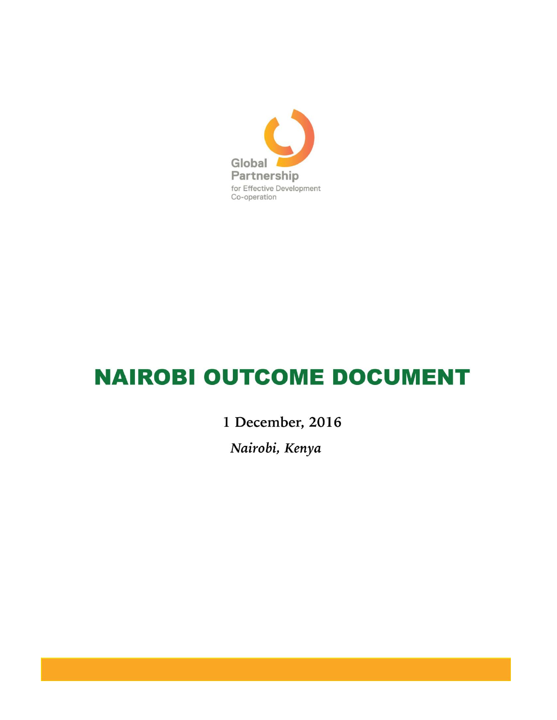

# **NAIROBI OUTCOME DOCUMENT**

1 December, 2016

Nairobi, Kenya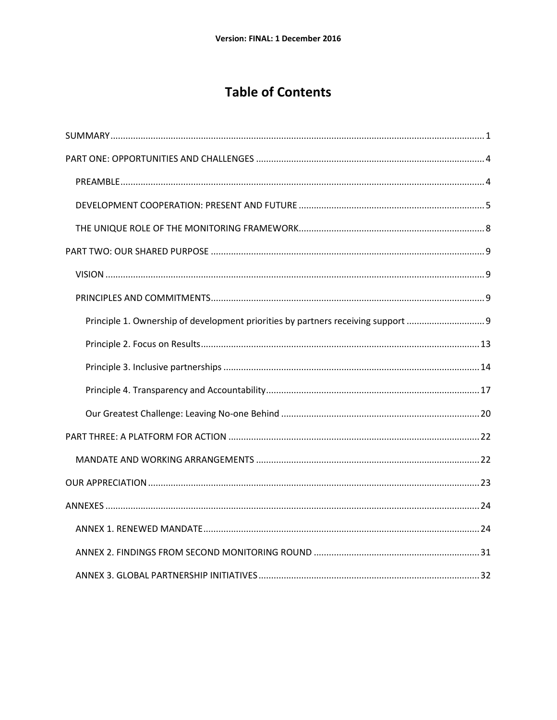# **Table of Contents**

| Principle 1. Ownership of development priorities by partners receiving support |
|--------------------------------------------------------------------------------|
|                                                                                |
|                                                                                |
|                                                                                |
|                                                                                |
|                                                                                |
|                                                                                |
|                                                                                |
|                                                                                |
|                                                                                |
|                                                                                |
|                                                                                |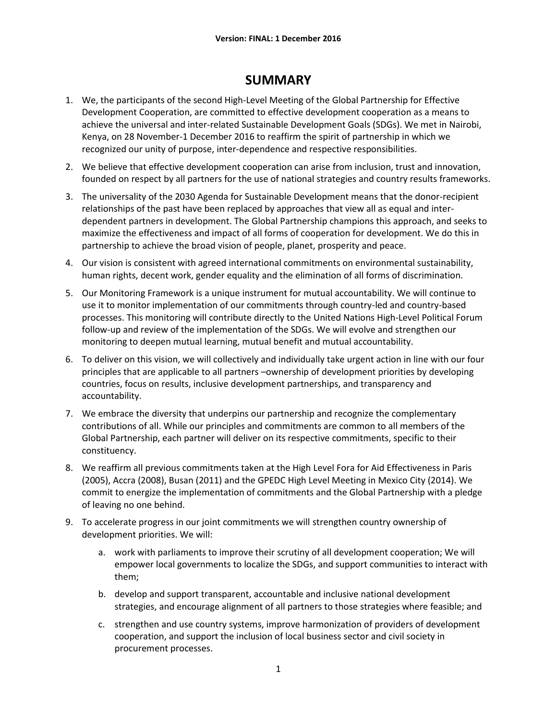# **SUMMARY**

- <span id="page-3-0"></span>1. We, the participants of the second High-Level Meeting of the Global Partnership for Effective Development Cooperation, are committed to effective development cooperation as a means to achieve the universal and inter-related Sustainable Development Goals (SDGs). We met in Nairobi, Kenya, on 28 November-1 December 2016 to reaffirm the spirit of partnership in which we recognized our unity of purpose, inter-dependence and respective responsibilities.
- 2. We believe that effective development cooperation can arise from inclusion, trust and innovation, founded on respect by all partners for the use of national strategies and country results frameworks.
- 3. The universality of the 2030 Agenda for Sustainable Development means that the donor-recipient relationships of the past have been replaced by approaches that view all as equal and interdependent partners in development. The Global Partnership champions this approach, and seeks to maximize the effectiveness and impact of all forms of cooperation for development. We do this in partnership to achieve the broad vision of people, planet, prosperity and peace.
- 4. Our vision is consistent with agreed international commitments on environmental sustainability, human rights, decent work, gender equality and the elimination of all forms of discrimination.
- 5. Our Monitoring Framework is a unique instrument for mutual accountability. We will continue to use it to monitor implementation of our commitments through country-led and country-based processes. This monitoring will contribute directly to the United Nations High-Level Political Forum follow-up and review of the implementation of the SDGs. We will evolve and strengthen our monitoring to deepen mutual learning, mutual benefit and mutual accountability.
- 6. To deliver on this vision, we will collectively and individually take urgent action in line with our four principles that are applicable to all partners –ownership of development priorities by developing countries, focus on results, inclusive development partnerships, and transparency and accountability.
- 7. We embrace the diversity that underpins our partnership and recognize the complementary contributions of all. While our principles and commitments are common to all members of the Global Partnership, each partner will deliver on its respective commitments, specific to their constituency.
- 8. We reaffirm all previous commitments taken at the High Level Fora for Aid Effectiveness in Paris (2005), Accra (2008), Busan (2011) and the GPEDC High Level Meeting in Mexico City (2014). We commit to energize the implementation of commitments and the Global Partnership with a pledge of leaving no one behind.
- 9. To accelerate progress in our joint commitments we will strengthen country ownership of development priorities. We will:
	- a. work with parliaments to improve their scrutiny of all development cooperation; We will empower local governments to localize the SDGs, and support communities to interact with them;
	- b. develop and support transparent, accountable and inclusive national development strategies, and encourage alignment of all partners to those strategies where feasible; and
	- c. strengthen and use country systems, improve harmonization of providers of development cooperation, and support the inclusion of local business sector and civil society in procurement processes.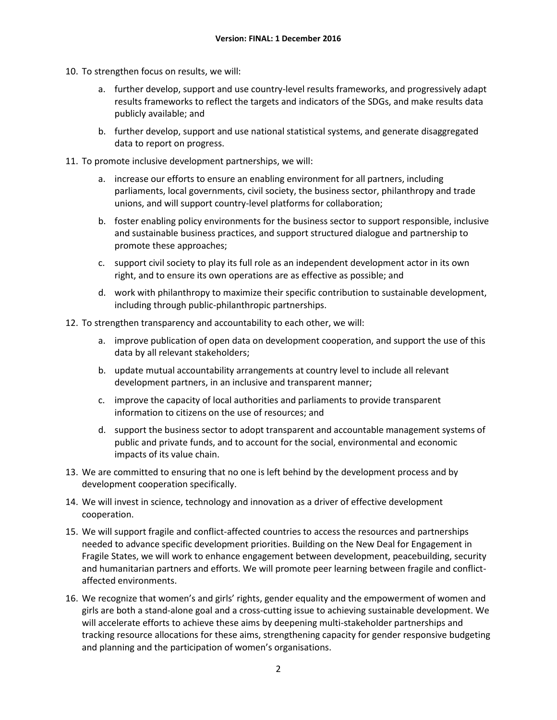- 10. To strengthen focus on results, we will:
	- a. further develop, support and use country-level results frameworks, and progressively adapt results frameworks to reflect the targets and indicators of the SDGs, and make results data publicly available; and
	- b. further develop, support and use national statistical systems, and generate disaggregated data to report on progress.
- 11. To promote inclusive development partnerships, we will:
	- a. increase our efforts to ensure an enabling environment for all partners, including parliaments, local governments, civil society, the business sector, philanthropy and trade unions, and will support country-level platforms for collaboration;
	- b. foster enabling policy environments for the business sector to support responsible, inclusive and sustainable business practices, and support structured dialogue and partnership to promote these approaches;
	- c. support civil society to play its full role as an independent development actor in its own right, and to ensure its own operations are as effective as possible; and
	- d. work with philanthropy to maximize their specific contribution to sustainable development, including through public-philanthropic partnerships.
- 12. To strengthen transparency and accountability to each other, we will:
	- a. improve publication of open data on development cooperation, and support the use of this data by all relevant stakeholders;
	- b. update mutual accountability arrangements at country level to include all relevant development partners, in an inclusive and transparent manner;
	- c. improve the capacity of local authorities and parliaments to provide transparent information to citizens on the use of resources; and
	- d. support the business sector to adopt transparent and accountable management systems of public and private funds, and to account for the social, environmental and economic impacts of its value chain.
- 13. We are committed to ensuring that no one is left behind by the development process and by development cooperation specifically.
- 14. We will invest in science, technology and innovation as a driver of effective development cooperation.
- 15. We will support fragile and conflict-affected countries to access the resources and partnerships needed to advance specific development priorities. Building on the New Deal for Engagement in Fragile States, we will work to enhance engagement between development, peacebuilding, security and humanitarian partners and efforts. We will promote peer learning between fragile and conflictaffected environments.
- 16. We recognize that women's and girls' rights, gender equality and the empowerment of women and girls are both a stand-alone goal and a cross-cutting issue to achieving sustainable development. We will accelerate efforts to achieve these aims by deepening multi-stakeholder partnerships and tracking resource allocations for these aims, strengthening capacity for gender responsive budgeting and planning and the participation of women's organisations.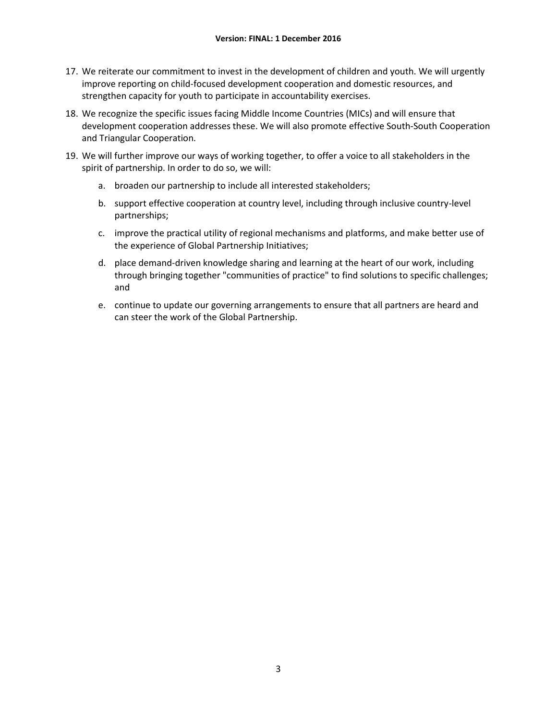- 17. We reiterate our commitment to invest in the development of children and youth. We will urgently improve reporting on child-focused development cooperation and domestic resources, and strengthen capacity for youth to participate in accountability exercises.
- 18. We recognize the specific issues facing Middle Income Countries (MICs) and will ensure that development cooperation addresses these. We will also promote effective South-South Cooperation and Triangular Cooperation.
- 19. We will further improve our ways of working together, to offer a voice to all stakeholders in the spirit of partnership. In order to do so, we will:
	- a. broaden our partnership to include all interested stakeholders;
	- b. support effective cooperation at country level, including through inclusive country-level partnerships;
	- c. improve the practical utility of regional mechanisms and platforms, and make better use of the experience of Global Partnership Initiatives;
	- d. place demand-driven knowledge sharing and learning at the heart of our work, including through bringing together "communities of practice" to find solutions to specific challenges; and
	- e. continue to update our governing arrangements to ensure that all partners are heard and can steer the work of the Global Partnership.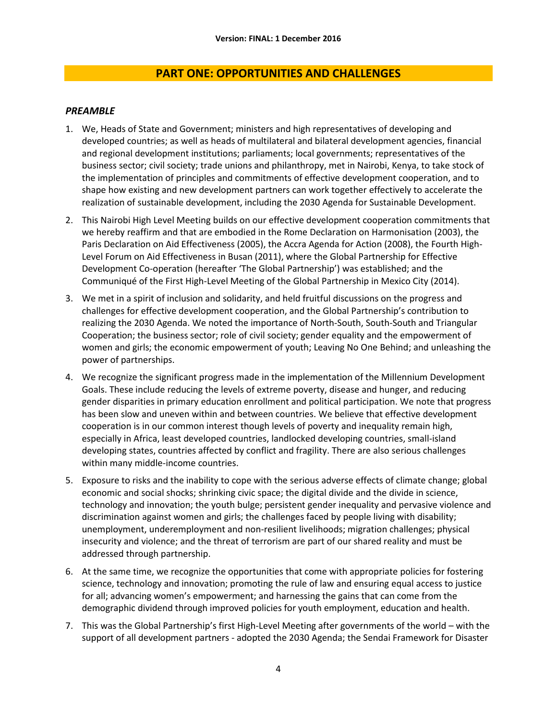# **PART ONE: OPPORTUNITIES AND CHALLENGES**

### <span id="page-6-1"></span><span id="page-6-0"></span>*PREAMBLE*

- 1. We, Heads of State and Government; ministers and high representatives of developing and developed countries; as well as heads of multilateral and bilateral development agencies, financial and regional development institutions; parliaments; local governments; representatives of the business sector; civil society; trade unions and philanthropy, met in Nairobi, Kenya, to take stock of the implementation of principles and commitments of effective development cooperation, and to shape how existing and new development partners can work together effectively to accelerate the realization of sustainable development, including the 2030 Agenda for Sustainable Development.
- 2. This Nairobi High Level Meeting builds on our effective development cooperation commitments that we hereby reaffirm and that are embodied in the Rome Declaration on Harmonisation (2003), the Paris Declaration on Aid Effectiveness (2005), the Accra Agenda for Action (2008), the Fourth High-Level Forum on Aid Effectiveness in Busan (2011), where the Global Partnership for Effective Development Co-operation (hereafter 'The Global Partnership') was established; and the Communiqué of the First High-Level Meeting of the Global Partnership in Mexico City (2014).
- 3. We met in a spirit of inclusion and solidarity, and held fruitful discussions on the progress and challenges for effective development cooperation, and the Global Partnership's contribution to realizing the 2030 Agenda. We noted the importance of North-South, South-South and Triangular Cooperation; the business sector; role of civil society; gender equality and the empowerment of women and girls; the economic empowerment of youth; Leaving No One Behind; and unleashing the power of partnerships.
- 4. We recognize the significant progress made in the implementation of the Millennium Development Goals. These include reducing the levels of extreme poverty, disease and hunger, and reducing gender disparities in primary education enrollment and political participation. We note that progress has been slow and uneven within and between countries. We believe that effective development cooperation is in our common interest though levels of poverty and inequality remain high, especially in Africa, least developed countries, landlocked developing countries, small-island developing states, countries affected by conflict and fragility. There are also serious challenges within many middle-income countries.
- 5. Exposure to risks and the inability to cope with the serious adverse effects of climate change; global economic and social shocks; shrinking civic space; the digital divide and the divide in science, technology and innovation; the youth bulge; persistent gender inequality and pervasive violence and discrimination against women and girls; the challenges faced by people living with disability; unemployment, underemployment and non-resilient livelihoods; migration challenges; physical insecurity and violence; and the threat of terrorism are part of our shared reality and must be addressed through partnership.
- 6. At the same time, we recognize the opportunities that come with appropriate policies for fostering science, technology and innovation; promoting the rule of law and ensuring equal access to justice for all; advancing women's empowerment; and harnessing the gains that can come from the demographic dividend through improved policies for youth employment, education and health.
- 7. This was the Global Partnership's first High-Level Meeting after governments of the world with the support of all development partners - adopted the 2030 Agenda; the Sendai Framework for Disaster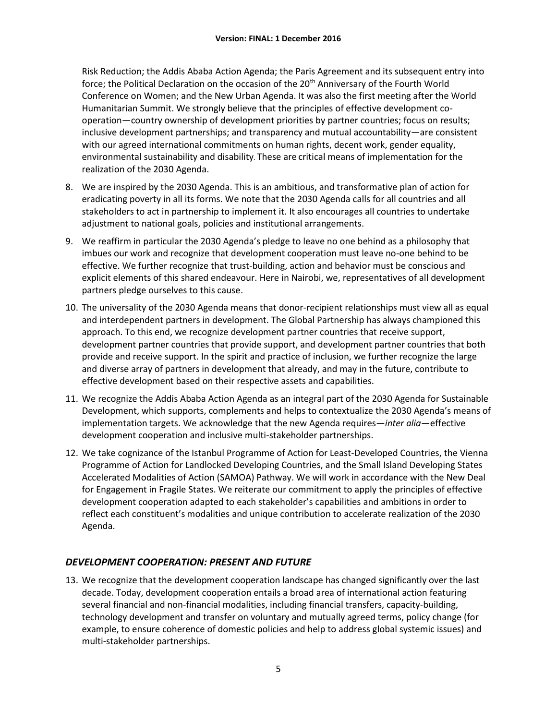Risk Reduction; the Addis Ababa Action Agenda; the Paris Agreement and its subsequent entry into force; the Political Declaration on the occasion of the 20<sup>th</sup> Anniversary of the Fourth World Conference on Women; and the New Urban Agenda. It was also the first meeting after the World Humanitarian Summit. We strongly believe that the principles of effective development cooperation—country ownership of development priorities by partner countries; focus on results; inclusive development partnerships; and transparency and mutual accountability—are consistent with our agreed international commitments on human rights, decent work, gender equality, environmental sustainability and disability. These are critical means of implementation for the realization of the 2030 Agenda.

- 8. We are inspired by the 2030 Agenda. This is an ambitious, and transformative plan of action for eradicating poverty in all its forms. We note that the 2030 Agenda calls for all countries and all stakeholders to act in partnership to implement it. It also encourages all countries to undertake adjustment to national goals, policies and institutional arrangements.
- 9. We reaffirm in particular the 2030 Agenda's pledge to leave no one behind as a philosophy that imbues our work and recognize that development cooperation must leave no-one behind to be effective. We further recognize that trust-building, action and behavior must be conscious and explicit elements of this shared endeavour. Here in Nairobi, we, representatives of all development partners pledge ourselves to this cause.
- 10. The universality of the 2030 Agenda means that donor-recipient relationships must view all as equal and interdependent partners in development. The Global Partnership has always championed this approach. To this end, we recognize development partner countries that receive support, development partner countries that provide support, and development partner countries that both provide and receive support. In the spirit and practice of inclusion, we further recognize the large and diverse array of partners in development that already, and may in the future, contribute to effective development based on their respective assets and capabilities.
- 11. We recognize the Addis Ababa Action Agenda as an integral part of the 2030 Agenda for Sustainable Development, which supports, complements and helps to contextualize the 2030 Agenda's means of implementation targets. We acknowledge that the new Agenda requires—*inter alia*—effective development cooperation and inclusive multi-stakeholder partnerships.
- 12. We take cognizance of the Istanbul Programme of Action for Least-Developed Countries, the Vienna Programme of Action for Landlocked Developing Countries, and the Small Island Developing States Accelerated Modalities of Action (SAMOA) Pathway. We will work in accordance with the New Deal for Engagement in Fragile States. We reiterate our commitment to apply the principles of effective development cooperation adapted to each stakeholder's capabilities and ambitions in order to reflect each constituent's modalities and unique contribution to accelerate realization of the 2030 Agenda.

# <span id="page-7-0"></span>*DEVELOPMENT COOPERATION: PRESENT AND FUTURE*

13. We recognize that the development cooperation landscape has changed significantly over the last decade. Today, development cooperation entails a broad area of international action featuring several financial and non-financial modalities, including financial transfers, capacity-building, technology development and transfer on voluntary and mutually agreed terms, policy change (for example, to ensure coherence of domestic policies and help to address global systemic issues) and multi-stakeholder partnerships.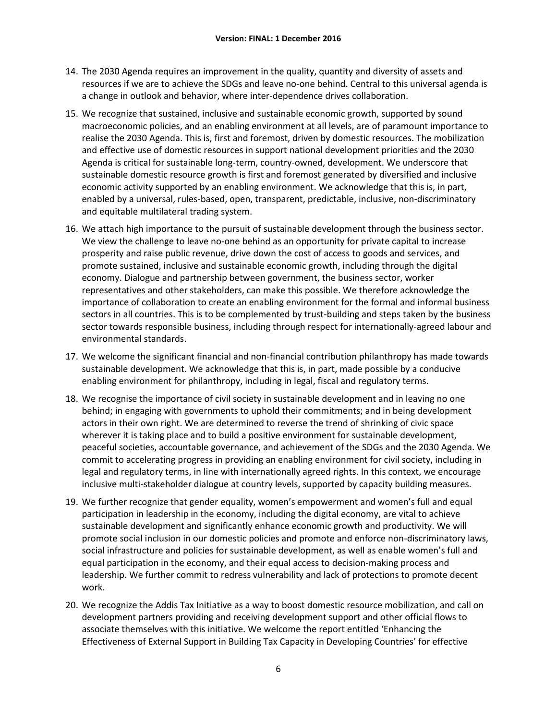- 14. The 2030 Agenda requires an improvement in the quality, quantity and diversity of assets and resources if we are to achieve the SDGs and leave no-one behind. Central to this universal agenda is a change in outlook and behavior, where inter-dependence drives collaboration.
- 15. We recognize that sustained, inclusive and sustainable economic growth, supported by sound macroeconomic policies, and an enabling environment at all levels, are of paramount importance to realise the 2030 Agenda. This is, first and foremost, driven by domestic resources. The mobilization and effective use of domestic resources in support national development priorities and the 2030 Agenda is critical for sustainable long-term, country-owned, development. We underscore that sustainable domestic resource growth is first and foremost generated by diversified and inclusive economic activity supported by an enabling environment. We acknowledge that this is, in part, enabled by a universal, rules-based, open, transparent, predictable, inclusive, non-discriminatory and equitable multilateral trading system.
- 16. We attach high importance to the pursuit of sustainable development through the business sector. We view the challenge to leave no-one behind as an opportunity for private capital to increase prosperity and raise public revenue, drive down the cost of access to goods and services, and promote sustained, inclusive and sustainable economic growth, including through the digital economy. Dialogue and partnership between government, the business sector, worker representatives and other stakeholders, can make this possible. We therefore acknowledge the importance of collaboration to create an enabling environment for the formal and informal business sectors in all countries. This is to be complemented by trust-building and steps taken by the business sector towards responsible business, including through respect for internationally-agreed labour and environmental standards.
- 17. We welcome the significant financial and non-financial contribution philanthropy has made towards sustainable development. We acknowledge that this is, in part, made possible by a conducive enabling environment for philanthropy, including in legal, fiscal and regulatory terms.
- 18. We recognise the importance of civil society in sustainable development and in leaving no one behind; in engaging with governments to uphold their commitments; and in being development actors in their own right. We are determined to reverse the trend of shrinking of civic space wherever it is taking place and to build a positive environment for sustainable development, peaceful societies, accountable governance, and achievement of the SDGs and the 2030 Agenda. We commit to accelerating progress in providing an enabling environment for civil society, including in legal and regulatory terms, in line with internationally agreed rights. In this context, we encourage inclusive multi-stakeholder dialogue at country levels, supported by capacity building measures.
- 19. We further recognize that gender equality, women's empowerment and women's full and equal participation in leadership in the economy, including the digital economy, are vital to achieve sustainable development and significantly enhance economic growth and productivity. We will promote social inclusion in our domestic policies and promote and enforce non-discriminatory laws, social infrastructure and policies for sustainable development, as well as enable women's full and equal participation in the economy, and their equal access to decision-making process and leadership. We further commit to redress vulnerability and lack of protections to promote decent work.
- 20. We recognize the Addis Tax Initiative as a way to boost domestic resource mobilization, and call on development partners providing and receiving development support and other official flows to associate themselves with this initiative. We welcome the report entitled 'Enhancing the Effectiveness of External Support in Building Tax Capacity in Developing Countries' for effective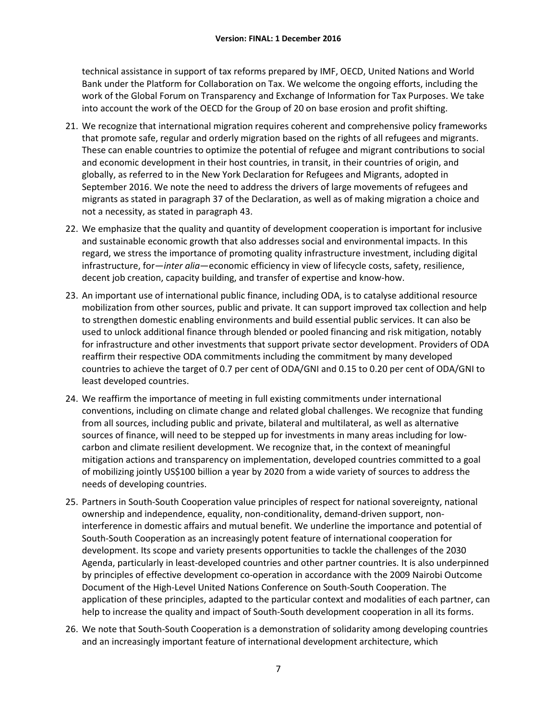technical assistance in support of tax reforms prepared by IMF, OECD, United Nations and World Bank under the Platform for Collaboration on Tax. We welcome the ongoing efforts, including the work of the Global Forum on Transparency and Exchange of Information for Tax Purposes. We take into account the work of the OECD for the Group of 20 on base erosion and profit shifting.

- 21. We recognize that international migration requires coherent and comprehensive policy frameworks that promote safe, regular and orderly migration based on the rights of all refugees and migrants. These can enable countries to optimize the potential of refugee and migrant contributions to social and economic development in their host countries, in transit, in their countries of origin, and globally, as referred to in the New York Declaration for Refugees and Migrants, adopted in September 2016. We note the need to address the drivers of large movements of refugees and migrants as stated in paragraph 37 of the Declaration, as well as of making migration a choice and not a necessity, as stated in paragraph 43.
- 22. We emphasize that the quality and quantity of development cooperation is important for inclusive and sustainable economic growth that also addresses social and environmental impacts. In this regard, we stress the importance of promoting quality infrastructure investment, including digital infrastructure, for—*inter alia*—economic efficiency in view of lifecycle costs, safety, resilience, decent job creation, capacity building, and transfer of expertise and know-how.
- 23. An important use of international public finance, including ODA, is to catalyse additional resource mobilization from other sources, public and private. It can support improved tax collection and help to strengthen domestic enabling environments and build essential public services. It can also be used to unlock additional finance through blended or pooled financing and risk mitigation, notably for infrastructure and other investments that support private sector development. Providers of ODA reaffirm their respective ODA commitments including the commitment by many developed countries to achieve the target of 0.7 per cent of ODA/GNI and 0.15 to 0.20 per cent of ODA/GNI to least developed countries.
- 24. We reaffirm the importance of meeting in full existing commitments under international conventions, including on climate change and related global challenges. We recognize that funding from all sources, including public and private, bilateral and multilateral, as well as alternative sources of finance, will need to be stepped up for investments in many areas including for lowcarbon and climate resilient development. We recognize that, in the context of meaningful mitigation actions and transparency on implementation, developed countries committed to a goal of mobilizing jointly US\$100 billion a year by 2020 from a wide variety of sources to address the needs of developing countries.
- 25. Partners in South-South Cooperation value principles of respect for national sovereignty, national ownership and independence, equality, non-conditionality, demand-driven support, noninterference in domestic affairs and mutual benefit. We underline the importance and potential of South-South Cooperation as an increasingly potent feature of international cooperation for development. Its scope and variety presents opportunities to tackle the challenges of the 2030 Agenda, particularly in least-developed countries and other partner countries. It is also underpinned by principles of effective development co-operation in accordance with the 2009 Nairobi Outcome Document of the High-Level United Nations Conference on South-South Cooperation. The application of these principles, adapted to the particular context and modalities of each partner, can help to increase the quality and impact of South-South development cooperation in all its forms.
- 26. We note that South-South Cooperation is a demonstration of solidarity among developing countries and an increasingly important feature of international development architecture, which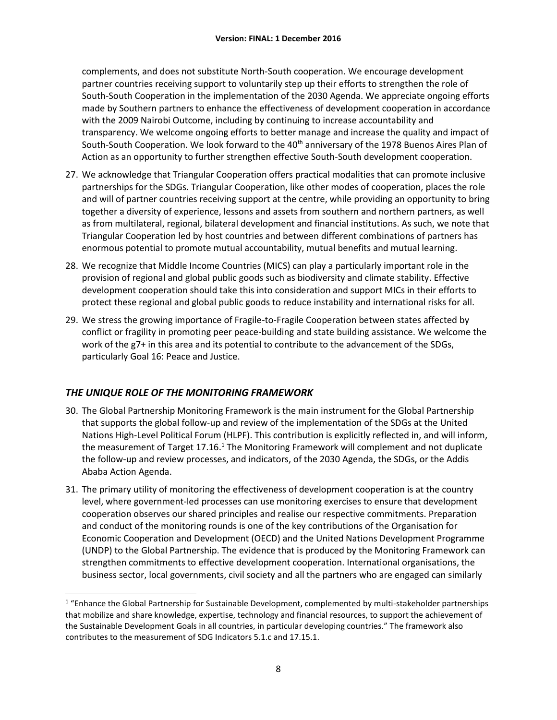complements, and does not substitute North-South cooperation. We encourage development partner countries receiving support to voluntarily step up their efforts to strengthen the role of South-South Cooperation in the implementation of the 2030 Agenda. We appreciate ongoing efforts made by Southern partners to enhance the effectiveness of development cooperation in accordance with the 2009 Nairobi Outcome, including by continuing to increase accountability and transparency. We welcome ongoing efforts to better manage and increase the quality and impact of South-South Cooperation. We look forward to the 40<sup>th</sup> anniversary of the 1978 Buenos Aires Plan of Action as an opportunity to further strengthen effective South-South development cooperation.

- 27. We acknowledge that Triangular Cooperation offers practical modalities that can promote inclusive partnerships for the SDGs. Triangular Cooperation, like other modes of cooperation, places the role and will of partner countries receiving support at the centre, while providing an opportunity to bring together a diversity of experience, lessons and assets from southern and northern partners, as well as from multilateral, regional, bilateral development and financial institutions. As such, we note that Triangular Cooperation led by host countries and between different combinations of partners has enormous potential to promote mutual accountability, mutual benefits and mutual learning.
- 28. We recognize that Middle Income Countries (MICS) can play a particularly important role in the provision of regional and global public goods such as biodiversity and climate stability. Effective development cooperation should take this into consideration and support MICs in their efforts to protect these regional and global public goods to reduce instability and international risks for all.
- 29. We stress the growing importance of Fragile-to-Fragile Cooperation between states affected by conflict or fragility in promoting peer peace-building and state building assistance. We welcome the work of the g7+ in this area and its potential to contribute to the advancement of the SDGs, particularly Goal 16: Peace and Justice.

# <span id="page-10-0"></span>*THE UNIQUE ROLE OF THE MONITORING FRAMEWORK*

 $\overline{a}$ 

- 30. The Global Partnership Monitoring Framework is the main instrument for the Global Partnership that supports the global follow-up and review of the implementation of the SDGs at the United Nations High-Level Political Forum (HLPF). This contribution is explicitly reflected in, and will inform, the measurement of Target 17.16.<sup>1</sup> The Monitoring Framework will complement and not duplicate the follow-up and review processes, and indicators, of the 2030 Agenda, the SDGs, or the Addis Ababa Action Agenda.
- 31. The primary utility of monitoring the effectiveness of development cooperation is at the country level, where government-led processes can use monitoring exercises to ensure that development cooperation observes our shared principles and realise our respective commitments. Preparation and conduct of the monitoring rounds is one of the key contributions of the Organisation for Economic Cooperation and Development (OECD) and the United Nations Development Programme (UNDP) to the Global Partnership. The evidence that is produced by the Monitoring Framework can strengthen commitments to effective development cooperation. International organisations, the business sector, local governments, civil society and all the partners who are engaged can similarly

<sup>&</sup>lt;sup>1</sup> "Enhance the Global Partnership for Sustainable Development, complemented by multi-stakeholder partnerships that mobilize and share knowledge, expertise, technology and financial resources, to support the achievement of the Sustainable Development Goals in all countries, in particular developing countries." The framework also contributes to the measurement of SDG Indicators 5.1.c and 17.15.1.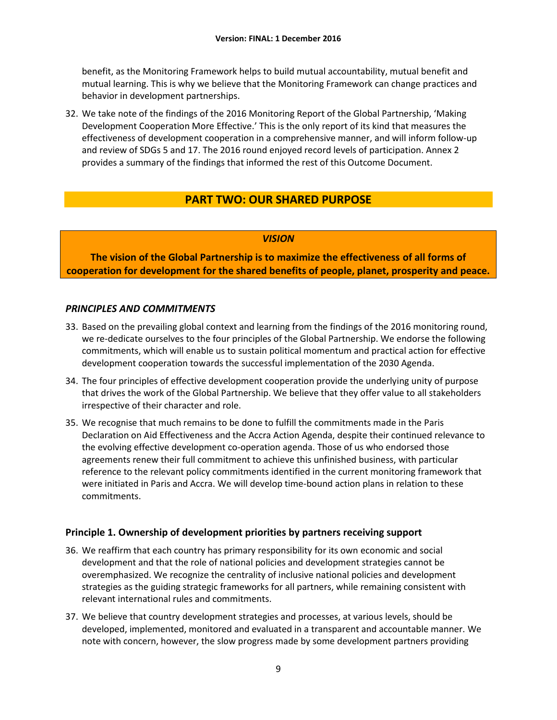benefit, as the Monitoring Framework helps to build mutual accountability, mutual benefit and mutual learning. This is why we believe that the Monitoring Framework can change practices and behavior in development partnerships.

32. We take note of the findings of the 2016 Monitoring Report of the Global Partnership, 'Making Development Cooperation More Effective.' This is the only report of its kind that measures the effectiveness of development cooperation in a comprehensive manner, and will inform follow-up and review of SDGs 5 and 17. The 2016 round enjoyed record levels of participation. Annex 2 provides a summary of the findings that informed the rest of this Outcome Document.

# **PART TWO: OUR SHARED PURPOSE**

### *VISION*

<span id="page-11-1"></span><span id="page-11-0"></span>**The vision of the Global Partnership is to maximize the effectiveness of all forms of cooperation for development for the shared benefits of people, planet, prosperity and peace.**

### <span id="page-11-2"></span>*PRINCIPLES AND COMMITMENTS*

- 33. Based on the prevailing global context and learning from the findings of the 2016 monitoring round, we re-dedicate ourselves to the four principles of the Global Partnership. We endorse the following commitments, which will enable us to sustain political momentum and practical action for effective development cooperation towards the successful implementation of the 2030 Agenda.
- 34. The four principles of effective development cooperation provide the underlying unity of purpose that drives the work of the Global Partnership. We believe that they offer value to all stakeholders irrespective of their character and role.
- 35. We recognise that much remains to be done to fulfill the commitments made in the Paris Declaration on Aid Effectiveness and the Accra Action Agenda, despite their continued relevance to the evolving effective development co-operation agenda. Those of us who endorsed those agreements renew their full commitment to achieve this unfinished business, with particular reference to the relevant policy commitments identified in the current monitoring framework that were initiated in Paris and Accra. We will develop time-bound action plans in relation to these commitments.

# <span id="page-11-3"></span>**Principle 1. Ownership of development priorities by partners receiving support**

- 36. We reaffirm that each country has primary responsibility for its own economic and social development and that the role of national policies and development strategies cannot be overemphasized. We recognize the centrality of inclusive national policies and development strategies as the guiding strategic frameworks for all partners, while remaining consistent with relevant international rules and commitments.
- 37. We believe that country development strategies and processes, at various levels, should be developed, implemented, monitored and evaluated in a transparent and accountable manner. We note with concern, however, the slow progress made by some development partners providing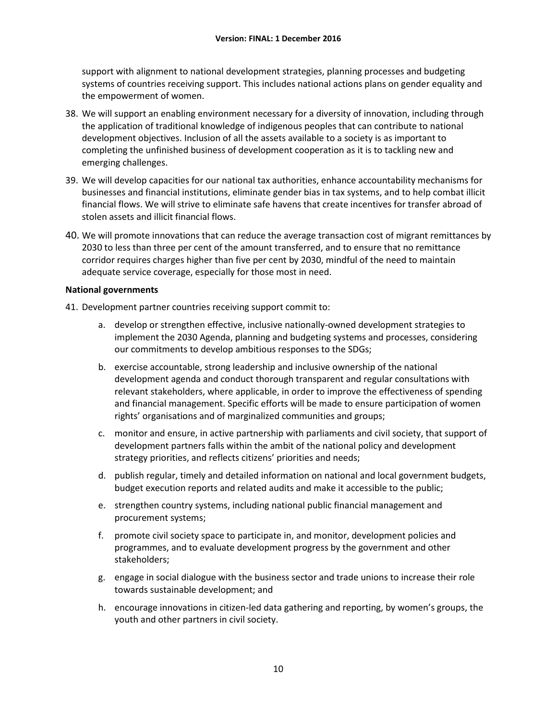support with alignment to national development strategies, planning processes and budgeting systems of countries receiving support. This includes national actions plans on gender equality and the empowerment of women.

- 38. We will support an enabling environment necessary for a diversity of innovation, including through the application of traditional knowledge of indigenous peoples that can contribute to national development objectives. Inclusion of all the assets available to a society is as important to completing the unfinished business of development cooperation as it is to tackling new and emerging challenges.
- 39. We will develop capacities for our national tax authorities, enhance accountability mechanisms for businesses and financial institutions, eliminate gender bias in tax systems, and to help combat illicit financial flows. We will strive to eliminate safe havens that create incentives for transfer abroad of stolen assets and illicit financial flows.
- 40. We will promote innovations that can reduce the average transaction cost of migrant remittances by 2030 to less than three per cent of the amount transferred, and to ensure that no remittance corridor requires charges higher than five per cent by 2030, mindful of the need to maintain adequate service coverage, especially for those most in need.

### **National governments**

41. Development partner countries receiving support commit to:

- a. develop or strengthen effective, inclusive nationally-owned development strategies to implement the 2030 Agenda, planning and budgeting systems and processes, considering our commitments to develop ambitious responses to the SDGs;
- b. exercise accountable, strong leadership and inclusive ownership of the national development agenda and conduct thorough transparent and regular consultations with relevant stakeholders, where applicable, in order to improve the effectiveness of spending and financial management. Specific efforts will be made to ensure participation of women rights' organisations and of marginalized communities and groups;
- c. monitor and ensure, in active partnership with parliaments and civil society, that support of development partners falls within the ambit of the national policy and development strategy priorities, and reflects citizens' priorities and needs;
- d. publish regular, timely and detailed information on national and local government budgets, budget execution reports and related audits and make it accessible to the public;
- e. strengthen country systems, including national public financial management and procurement systems;
- f. promote civil society space to participate in, and monitor, development policies and programmes, and to evaluate development progress by the government and other stakeholders;
- g. engage in social dialogue with the business sector and trade unions to increase their role towards sustainable development; and
- h. encourage innovations in citizen-led data gathering and reporting, by women's groups, the youth and other partners in civil society.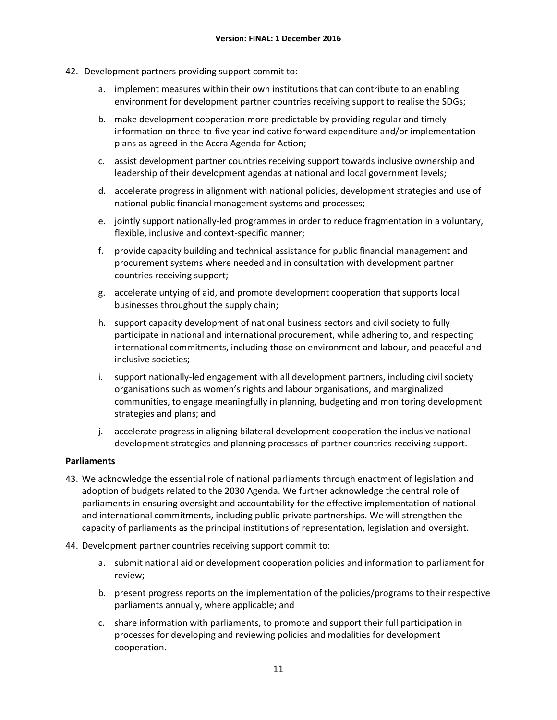- 42. Development partners providing support commit to:
	- a. implement measures within their own institutions that can contribute to an enabling environment for development partner countries receiving support to realise the SDGs;
	- b. make development cooperation more predictable by providing regular and timely information on three-to-five year indicative forward expenditure and/or implementation plans as agreed in the Accra Agenda for Action;
	- c. assist development partner countries receiving support towards inclusive ownership and leadership of their development agendas at national and local government levels;
	- d. accelerate progress in alignment with national policies, development strategies and use of national public financial management systems and processes;
	- e. jointly support nationally-led programmes in order to reduce fragmentation in a voluntary, flexible, inclusive and context-specific manner;
	- f. provide capacity building and technical assistance for public financial management and procurement systems where needed and in consultation with development partner countries receiving support;
	- g. accelerate untying of aid, and promote development cooperation that supports local businesses throughout the supply chain;
	- h. support capacity development of national business sectors and civil society to fully participate in national and international procurement, while adhering to, and respecting international commitments, including those on environment and labour, and peaceful and inclusive societies;
	- i. support nationally-led engagement with all development partners, including civil society organisations such as women's rights and labour organisations, and marginalized communities, to engage meaningfully in planning, budgeting and monitoring development strategies and plans; and
	- j. accelerate progress in aligning bilateral development cooperation the inclusive national development strategies and planning processes of partner countries receiving support.

# **Parliaments**

- 43. We acknowledge the essential role of national parliaments through enactment of legislation and adoption of budgets related to the 2030 Agenda. We further acknowledge the central role of parliaments in ensuring oversight and accountability for the effective implementation of national and international commitments, including public-private partnerships. We will strengthen the capacity of parliaments as the principal institutions of representation, legislation and oversight.
- 44. Development partner countries receiving support commit to:
	- a. submit national aid or development cooperation policies and information to parliament for review;
	- b. present progress reports on the implementation of the policies/programs to their respective parliaments annually, where applicable; and
	- c. share information with parliaments, to promote and support their full participation in processes for developing and reviewing policies and modalities for development cooperation.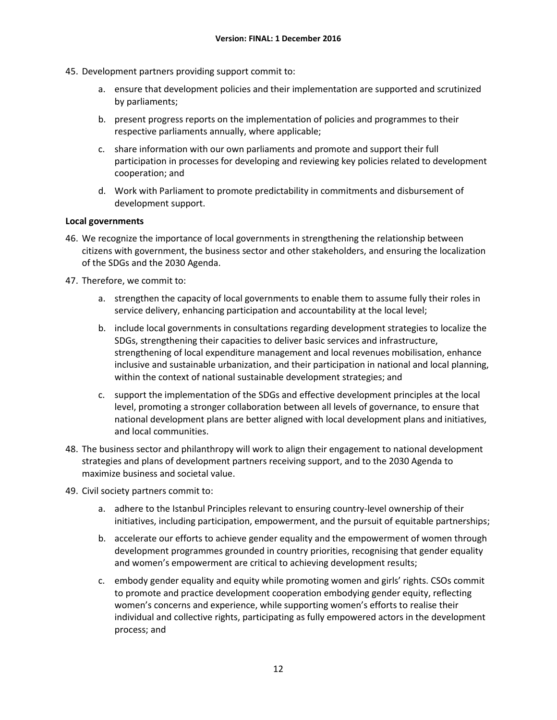- 45. Development partners providing support commit to:
	- a. ensure that development policies and their implementation are supported and scrutinized by parliaments;
	- b. present progress reports on the implementation of policies and programmes to their respective parliaments annually, where applicable;
	- c. share information with our own parliaments and promote and support their full participation in processes for developing and reviewing key policies related to development cooperation; and
	- d. Work with Parliament to promote predictability in commitments and disbursement of development support.

### **Local governments**

- 46. We recognize the importance of local governments in strengthening the relationship between citizens with government, the business sector and other stakeholders, and ensuring the localization of the SDGs and the 2030 Agenda.
- 47. Therefore, we commit to:
	- a. strengthen the capacity of local governments to enable them to assume fully their roles in service delivery, enhancing participation and accountability at the local level;
	- b. include local governments in consultations regarding development strategies to localize the SDGs, strengthening their capacities to deliver basic services and infrastructure, strengthening of local expenditure management and local revenues mobilisation, enhance inclusive and sustainable urbanization, and their participation in national and local planning, within the context of national sustainable development strategies; and
	- c. support the implementation of the SDGs and effective development principles at the local level, promoting a stronger collaboration between all levels of governance, to ensure that national development plans are better aligned with local development plans and initiatives, and local communities.
- 48. The business sector and philanthropy will work to align their engagement to national development strategies and plans of development partners receiving support, and to the 2030 Agenda to maximize business and societal value.
- 49. Civil society partners commit to:
	- a. adhere to the Istanbul Principles relevant to ensuring country-level ownership of their initiatives, including participation, empowerment, and the pursuit of equitable partnerships;
	- b. accelerate our efforts to achieve gender equality and the empowerment of women through development programmes grounded in country priorities, recognising that gender equality and women's empowerment are critical to achieving development results;
	- c. embody gender equality and equity while promoting women and girls' rights. CSOs commit to promote and practice development cooperation embodying gender equity, reflecting women's concerns and experience, while supporting women's efforts to realise their individual and collective rights, participating as fully empowered actors in the development process; and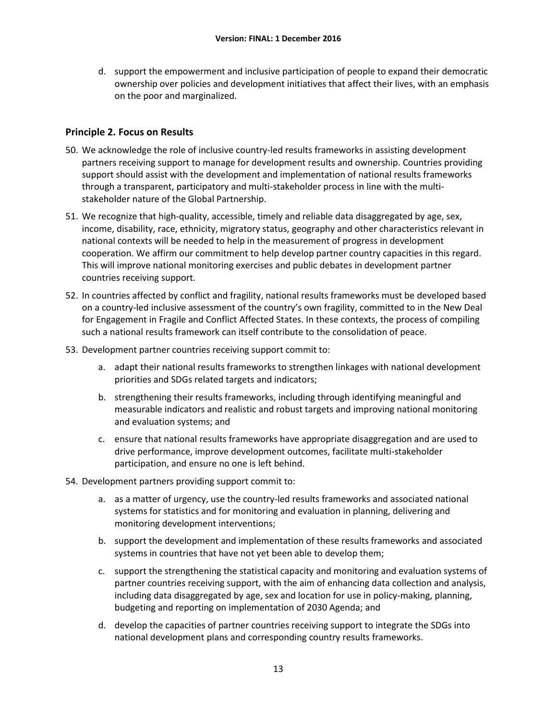d. support the empowerment and inclusive participation of people to expand their democratic ownership over policies and development initiatives that affect their lives, with an emphasis on the poor and marginalized.

# <span id="page-15-0"></span>**Principle 2. Focus on Results**

- 50. We acknowledge the role of inclusive country-led results frameworks in assisting development partners receiving support to manage for development results and ownership. Countries providing support should assist with the development and implementation of national results frameworks through a transparent, participatory and multi-stakeholder process in line with the multistakeholder nature of the Global Partnership.
- 51. We recognize that high-quality, accessible, timely and reliable data disaggregated by age, sex, income, disability, race, ethnicity, migratory status, geography and other characteristics relevant in national contexts will be needed to help in the measurement of progress in development cooperation. We affirm our commitment to help develop partner country capacities in this regard. This will improve national monitoring exercises and public debates in development partner countries receiving support.
- 52. In countries affected by conflict and fragility, national results frameworks must be developed based on a country-led inclusive assessment of the country's own fragility, committed to in the New Deal for Engagement in Fragile and Conflict Affected States. In these contexts, the process of compiling such a national results framework can itself contribute to the consolidation of peace.
- 53. Development partner countries receiving support commit to:
	- a. adapt their national results frameworks to strengthen linkages with national development priorities and SDGs related targets and indicators;
	- b. strengthening their results frameworks, including through identifying meaningful and measurable indicators and realistic and robust targets and improving national monitoring and evaluation systems; and
	- c. ensure that national results frameworks have appropriate disaggregation and are used to drive performance, improve development outcomes, facilitate multi-stakeholder participation, and ensure no one is left behind.
- 54. Development partners providing support commit to:
	- a. as a matter of urgency, use the country-led results frameworks and associated national systems for statistics and for monitoring and evaluation in planning, delivering and monitoring development interventions;
	- b. support the development and implementation of these results frameworks and associated systems in countries that have not yet been able to develop them;
	- c. support the strengthening the statistical capacity and monitoring and evaluation systems of partner countries receiving support, with the aim of enhancing data collection and analysis, including data disaggregated by age, sex and location for use in policy-making, planning, budgeting and reporting on implementation of 2030 Agenda; and
	- d. develop the capacities of partner countries receiving support to integrate the SDGs into national development plans and corresponding country results frameworks.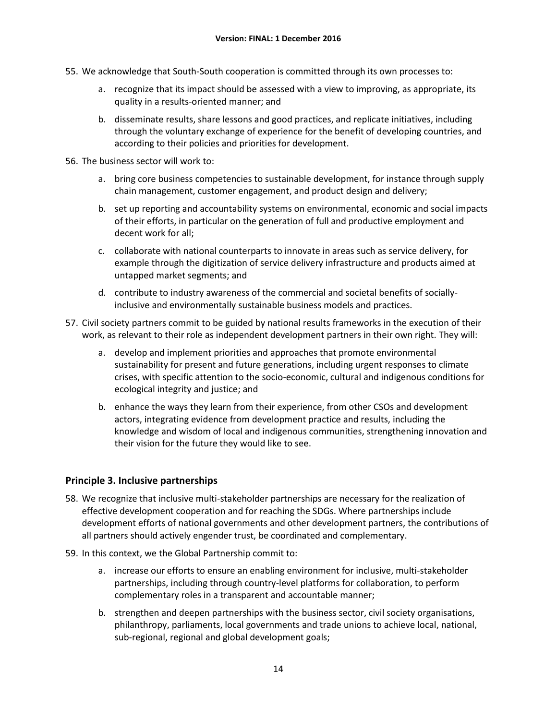- 55. We acknowledge that South-South cooperation is committed through its own processes to:
	- a. recognize that its impact should be assessed with a view to improving, as appropriate, its quality in a results-oriented manner; and
	- b. disseminate results, share lessons and good practices, and replicate initiatives, including through the voluntary exchange of experience for the benefit of developing countries, and according to their policies and priorities for development.
- 56. The business sector will work to:
	- a. bring core business competencies to sustainable development, for instance through supply chain management, customer engagement, and product design and delivery;
	- b. set up reporting and accountability systems on environmental, economic and social impacts of their efforts, in particular on the generation of full and productive employment and decent work for all;
	- c. collaborate with national counterparts to innovate in areas such as service delivery, for example through the digitization of service delivery infrastructure and products aimed at untapped market segments; and
	- d. contribute to industry awareness of the commercial and societal benefits of sociallyinclusive and environmentally sustainable business models and practices.
- 57. Civil society partners commit to be guided by national results frameworks in the execution of their work, as relevant to their role as independent development partners in their own right. They will:
	- a. develop and implement priorities and approaches that promote environmental sustainability for present and future generations, including urgent responses to climate crises, with specific attention to the socio-economic, cultural and indigenous conditions for ecological integrity and justice; and
	- b. enhance the ways they learn from their experience, from other CSOs and development actors, integrating evidence from development practice and results, including the knowledge and wisdom of local and indigenous communities, strengthening innovation and their vision for the future they would like to see.

# <span id="page-16-0"></span>**Principle 3. Inclusive partnerships**

- 58. We recognize that inclusive multi-stakeholder partnerships are necessary for the realization of effective development cooperation and for reaching the SDGs. Where partnerships include development efforts of national governments and other development partners, the contributions of all partners should actively engender trust, be coordinated and complementary.
- 59. In this context, we the Global Partnership commit to:
	- a. increase our efforts to ensure an enabling environment for inclusive, multi-stakeholder partnerships, including through country-level platforms for collaboration, to perform complementary roles in a transparent and accountable manner;
	- b. strengthen and deepen partnerships with the business sector, civil society organisations, philanthropy, parliaments, local governments and trade unions to achieve local, national, sub-regional, regional and global development goals;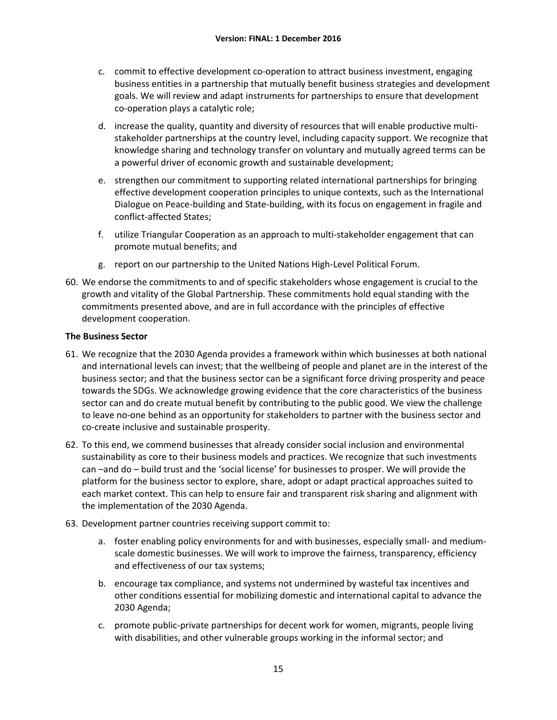- c. commit to effective development co-operation to attract business investment, engaging business entities in a partnership that mutually benefit business strategies and development goals. We will review and adapt instruments for partnerships to ensure that development co-operation plays a catalytic role;
- d. increase the quality, quantity and diversity of resources that will enable productive multistakeholder partnerships at the country level, including capacity support. We recognize that knowledge sharing and technology transfer on voluntary and mutually agreed terms can be a powerful driver of economic growth and sustainable development;
- e. strengthen our commitment to supporting related international partnerships for bringing effective development cooperation principles to unique contexts, such as the International Dialogue on Peace-building and State-building, with its focus on engagement in fragile and conflict-affected States;
- f. utilize Triangular Cooperation as an approach to multi-stakeholder engagement that can promote mutual benefits; and
- g. report on our partnership to the United Nations High-Level Political Forum.
- 60. We endorse the commitments to and of specific stakeholders whose engagement is crucial to the growth and vitality of the Global Partnership. These commitments hold equal standing with the commitments presented above, and are in full accordance with the principles of effective development cooperation.

### **The Business Sector**

- 61. We recognize that the 2030 Agenda provides a framework within which businesses at both national and international levels can invest; that the wellbeing of people and planet are in the interest of the business sector; and that the business sector can be a significant force driving prosperity and peace towards the SDGs. We acknowledge growing evidence that the core characteristics of the business sector can and do create mutual benefit by contributing to the public good. We view the challenge to leave no-one behind as an opportunity for stakeholders to partner with the business sector and co-create inclusive and sustainable prosperity.
- 62. To this end, we commend businesses that already consider social inclusion and environmental sustainability as core to their business models and practices. We recognize that such investments can –and do – build trust and the 'social license' for businesses to prosper. We will provide the platform for the business sector to explore, share, adopt or adapt practical approaches suited to each market context. This can help to ensure fair and transparent risk sharing and alignment with the implementation of the 2030 Agenda.
- 63. Development partner countries receiving support commit to:
	- a. foster enabling policy environments for and with businesses, especially small- and mediumscale domestic businesses. We will work to improve the fairness, transparency, efficiency and effectiveness of our tax systems;
	- b. encourage tax compliance, and systems not undermined by wasteful tax incentives and other conditions essential for mobilizing domestic and international capital to advance the 2030 Agenda;
	- c. promote public-private partnerships for decent work for women, migrants, people living with disabilities, and other vulnerable groups working in the informal sector; and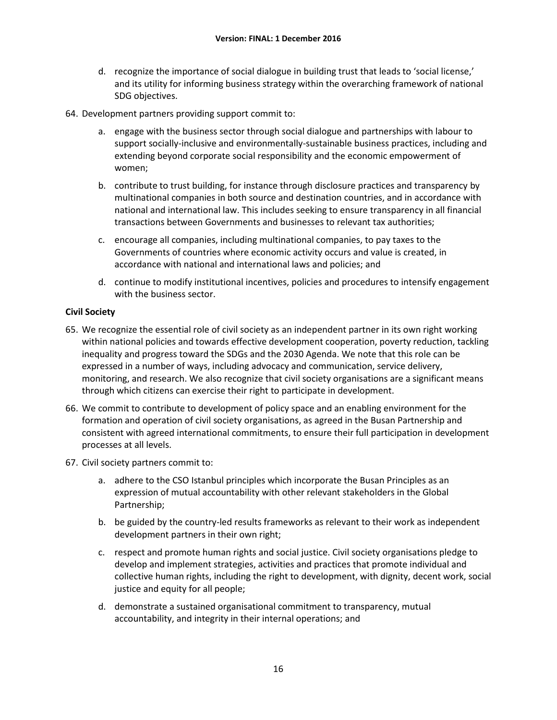- d. recognize the importance of social dialogue in building trust that leads to 'social license,' and its utility for informing business strategy within the overarching framework of national SDG objectives.
- 64. Development partners providing support commit to:
	- a. engage with the business sector through social dialogue and partnerships with labour to support socially-inclusive and environmentally-sustainable business practices, including and extending beyond corporate social responsibility and the economic empowerment of women;
	- b. contribute to trust building, for instance through disclosure practices and transparency by multinational companies in both source and destination countries, and in accordance with national and international law. This includes seeking to ensure transparency in all financial transactions between Governments and businesses to relevant tax authorities;
	- c. encourage all companies, including multinational companies, to pay taxes to the Governments of countries where economic activity occurs and value is created, in accordance with national and international laws and policies; and
	- d. continue to modify institutional incentives, policies and procedures to intensify engagement with the business sector.

### **Civil Society**

- 65. We recognize the essential role of civil society as an independent partner in its own right working within national policies and towards effective development cooperation, poverty reduction, tackling inequality and progress toward the SDGs and the 2030 Agenda. We note that this role can be expressed in a number of ways, including advocacy and communication, service delivery, monitoring, and research. We also recognize that civil society organisations are a significant means through which citizens can exercise their right to participate in development.
- 66. We commit to contribute to development of policy space and an enabling environment for the formation and operation of civil society organisations, as agreed in the Busan Partnership and consistent with agreed international commitments, to ensure their full participation in development processes at all levels.
- 67. Civil society partners commit to:
	- a. adhere to the CSO Istanbul principles which incorporate the Busan Principles as an expression of mutual accountability with other relevant stakeholders in the Global Partnership;
	- b. be guided by the country-led results frameworks as relevant to their work as independent development partners in their own right;
	- c. respect and promote human rights and social justice. Civil society organisations pledge to develop and implement strategies, activities and practices that promote individual and collective human rights, including the right to development, with dignity, decent work, social justice and equity for all people;
	- d. demonstrate a sustained organisational commitment to transparency, mutual accountability, and integrity in their internal operations; and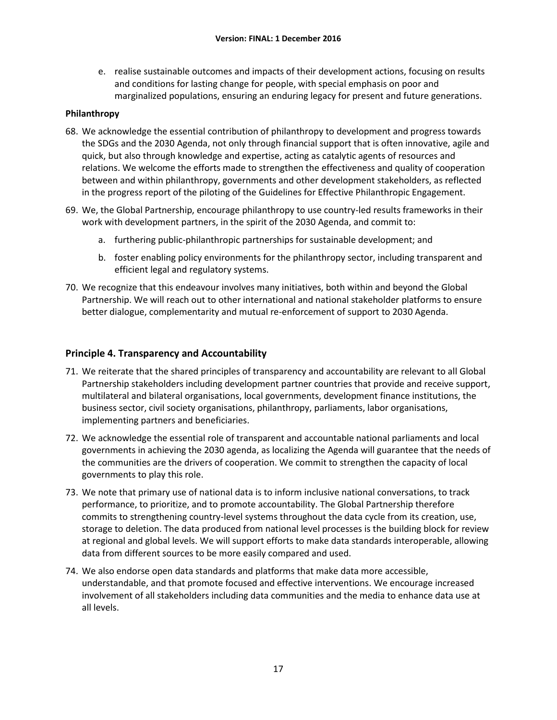e. realise sustainable outcomes and impacts of their development actions, focusing on results and conditions for lasting change for people, with special emphasis on poor and marginalized populations, ensuring an enduring legacy for present and future generations.

### **Philanthropy**

- 68. We acknowledge the essential contribution of philanthropy to development and progress towards the SDGs and the 2030 Agenda, not only through financial support that is often innovative, agile and quick, but also through knowledge and expertise, acting as catalytic agents of resources and relations. We welcome the efforts made to strengthen the effectiveness and quality of cooperation between and within philanthropy, governments and other development stakeholders, as reflected in the progress report of the piloting of the Guidelines for Effective Philanthropic Engagement.
- 69. We, the Global Partnership, encourage philanthropy to use country-led results frameworks in their work with development partners, in the spirit of the 2030 Agenda, and commit to:
	- a. furthering public-philanthropic partnerships for sustainable development; and
	- b. foster enabling policy environments for the philanthropy sector, including transparent and efficient legal and regulatory systems.
- 70. We recognize that this endeavour involves many initiatives, both within and beyond the Global Partnership. We will reach out to other international and national stakeholder platforms to ensure better dialogue, complementarity and mutual re-enforcement of support to 2030 Agenda.

# <span id="page-19-0"></span>**Principle 4. Transparency and Accountability**

- 71. We reiterate that the shared principles of transparency and accountability are relevant to all Global Partnership stakeholders including development partner countries that provide and receive support, multilateral and bilateral organisations, local governments, development finance institutions, the business sector, civil society organisations, philanthropy, parliaments, labor organisations, implementing partners and beneficiaries.
- 72. We acknowledge the essential role of transparent and accountable national parliaments and local governments in achieving the 2030 agenda, as localizing the Agenda will guarantee that the needs of the communities are the drivers of cooperation. We commit to strengthen the capacity of local governments to play this role.
- 73. We note that primary use of national data is to inform inclusive national conversations, to track performance, to prioritize, and to promote accountability. The Global Partnership therefore commits to strengthening country-level systems throughout the data cycle from its creation, use, storage to deletion. The data produced from national level processes is the building block for review at regional and global levels. We will support efforts to make data standards interoperable, allowing data from different sources to be more easily compared and used.
- 74. We also endorse open data standards and platforms that make data more accessible, understandable, and that promote focused and effective interventions. We encourage increased involvement of all stakeholders including data communities and the media to enhance data use at all levels.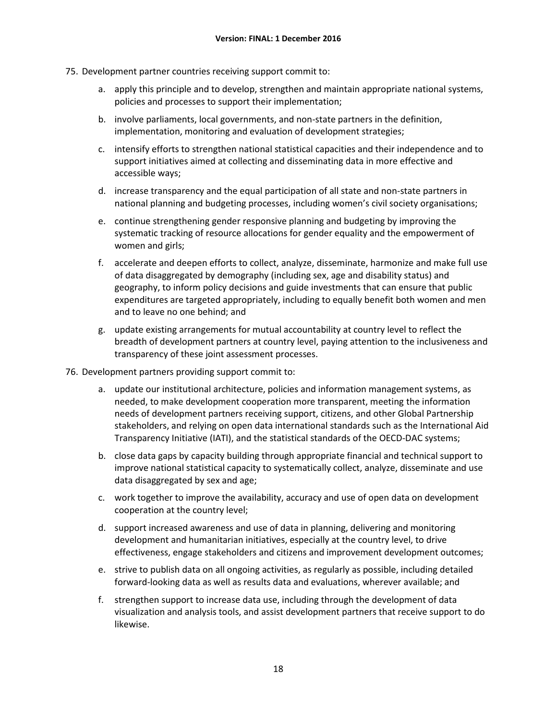- 75. Development partner countries receiving support commit to:
	- a. apply this principle and to develop, strengthen and maintain appropriate national systems, policies and processes to support their implementation;
	- b. involve parliaments, local governments, and non-state partners in the definition, implementation, monitoring and evaluation of development strategies;
	- c. intensify efforts to strengthen national statistical capacities and their independence and to support initiatives aimed at collecting and disseminating data in more effective and accessible ways;
	- d. increase transparency and the equal participation of all state and non-state partners in national planning and budgeting processes, including women's civil society organisations;
	- e. continue strengthening gender responsive planning and budgeting by improving the systematic tracking of resource allocations for gender equality and the empowerment of women and girls;
	- f. accelerate and deepen efforts to collect, analyze, disseminate, harmonize and make full use of data disaggregated by demography (including sex, age and disability status) and geography, to inform policy decisions and guide investments that can ensure that public expenditures are targeted appropriately, including to equally benefit both women and men and to leave no one behind; and
	- g. update existing arrangements for mutual accountability at country level to reflect the breadth of development partners at country level, paying attention to the inclusiveness and transparency of these joint assessment processes.
- 76. Development partners providing support commit to:
	- a. update our institutional architecture, policies and information management systems, as needed, to make development cooperation more transparent, meeting the information needs of development partners receiving support, citizens, and other Global Partnership stakeholders, and relying on open data international standards such as the International Aid Transparency Initiative (IATI), and the statistical standards of the OECD-DAC systems;
	- b. close data gaps by capacity building through appropriate financial and technical support to improve national statistical capacity to systematically collect, analyze, disseminate and use data disaggregated by sex and age;
	- c. work together to improve the availability, accuracy and use of open data on development cooperation at the country level;
	- d. support increased awareness and use of data in planning, delivering and monitoring development and humanitarian initiatives, especially at the country level, to drive effectiveness, engage stakeholders and citizens and improvement development outcomes;
	- e. strive to publish data on all ongoing activities, as regularly as possible, including detailed forward-looking data as well as results data and evaluations, wherever available; and
	- f. strengthen support to increase data use, including through the development of data visualization and analysis tools, and assist development partners that receive support to do likewise.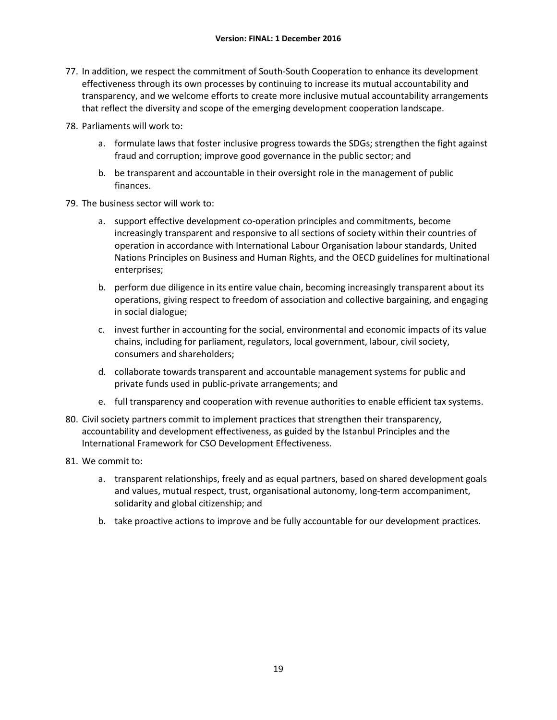- 77. In addition, we respect the commitment of South-South Cooperation to enhance its development effectiveness through its own processes by continuing to increase its mutual accountability and transparency, and we welcome efforts to create more inclusive mutual accountability arrangements that reflect the diversity and scope of the emerging development cooperation landscape.
- 78. Parliaments will work to:
	- a. formulate laws that foster inclusive progress towards the SDGs; strengthen the fight against fraud and corruption; improve good governance in the public sector; and
	- b. be transparent and accountable in their oversight role in the management of public finances.
- 79. The business sector will work to:
	- a. support effective development co-operation principles and commitments, become increasingly transparent and responsive to all sections of society within their countries of operation in accordance with International Labour Organisation labour standards, United Nations Principles on Business and Human Rights, and the OECD guidelines for multinational enterprises;
	- b. perform due diligence in its entire value chain, becoming increasingly transparent about its operations, giving respect to freedom of association and collective bargaining, and engaging in social dialogue;
	- c. invest further in accounting for the social, environmental and economic impacts of its value chains, including for parliament, regulators, local government, labour, civil society, consumers and shareholders;
	- d. collaborate towards transparent and accountable management systems for public and private funds used in public-private arrangements; and
	- e. full transparency and cooperation with revenue authorities to enable efficient tax systems.
- 80. Civil society partners commit to implement practices that strengthen their transparency, accountability and development effectiveness, as guided by the Istanbul Principles and the International Framework for CSO Development Effectiveness.
- 81. We commit to:
	- a. transparent relationships, freely and as equal partners, based on shared development goals and values, mutual respect, trust, organisational autonomy, long-term accompaniment, solidarity and global citizenship; and
	- b. take proactive actions to improve and be fully accountable for our development practices.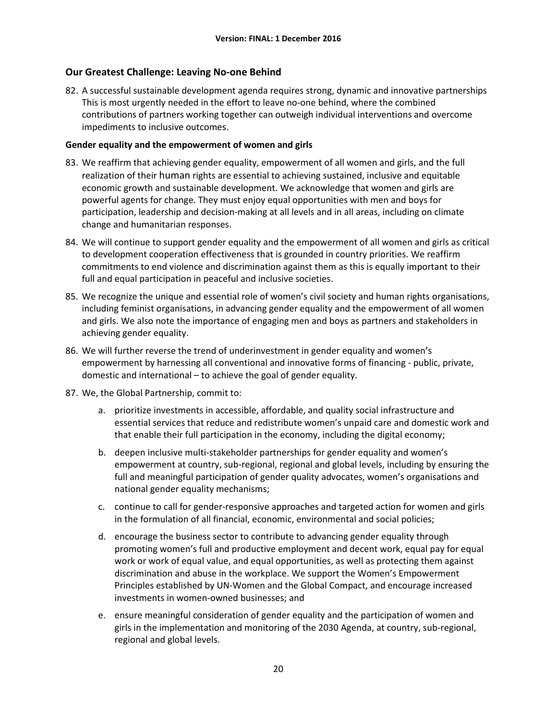# <span id="page-22-0"></span>**Our Greatest Challenge: Leaving No-one Behind**

82. A successful sustainable development agenda requires strong, dynamic and innovative partnerships This is most urgently needed in the effort to leave no-one behind, where the combined contributions of partners working together can outweigh individual interventions and overcome impediments to inclusive outcomes.

### **Gender equality and the empowerment of women and girls**

- 83. We reaffirm that achieving gender equality, empowerment of all women and girls, and the full realization of their human rights are essential to achieving sustained, inclusive and equitable economic growth and sustainable development. We acknowledge that women and girls are powerful agents for change. They must enjoy equal opportunities with men and boys for participation, leadership and decision-making at all levels and in all areas, including on climate change and humanitarian responses.
- 84. We will continue to support gender equality and the empowerment of all women and girls as critical to development cooperation effectiveness that is grounded in country priorities. We reaffirm commitments to end violence and discrimination against them as this is equally important to their full and equal participation in peaceful and inclusive societies.
- 85. We recognize the unique and essential role of women's civil society and human rights organisations, including feminist organisations, in advancing gender equality and the empowerment of all women and girls. We also note the importance of engaging men and boys as partners and stakeholders in achieving gender equality.
- 86. We will further reverse the trend of underinvestment in gender equality and women's empowerment by harnessing all conventional and innovative forms of financing - public, private, domestic and international – to achieve the goal of gender equality.
- 87. We, the Global Partnership, commit to:
	- a. prioritize investments in accessible, affordable, and quality social infrastructure and essential services that reduce and redistribute women's unpaid care and domestic work and that enable their full participation in the economy, including the digital economy;
	- b. deepen inclusive multi-stakeholder partnerships for gender equality and women's empowerment at country, sub-regional, regional and global levels, including by ensuring the full and meaningful participation of gender quality advocates, women's organisations and national gender equality mechanisms;
	- c. continue to call for gender-responsive approaches and targeted action for women and girls in the formulation of all financial, economic, environmental and social policies;
	- d. encourage the business sector to contribute to advancing gender equality through promoting women's full and productive employment and decent work, equal pay for equal work or work of equal value, and equal opportunities, as well as protecting them against discrimination and abuse in the workplace. We support the Women's Empowerment Principles established by UN-Women and the Global Compact, and encourage increased investments in women-owned businesses; and
	- e. ensure meaningful consideration of gender equality and the participation of women and girls in the implementation and monitoring of the 2030 Agenda, at country, sub-regional, regional and global levels.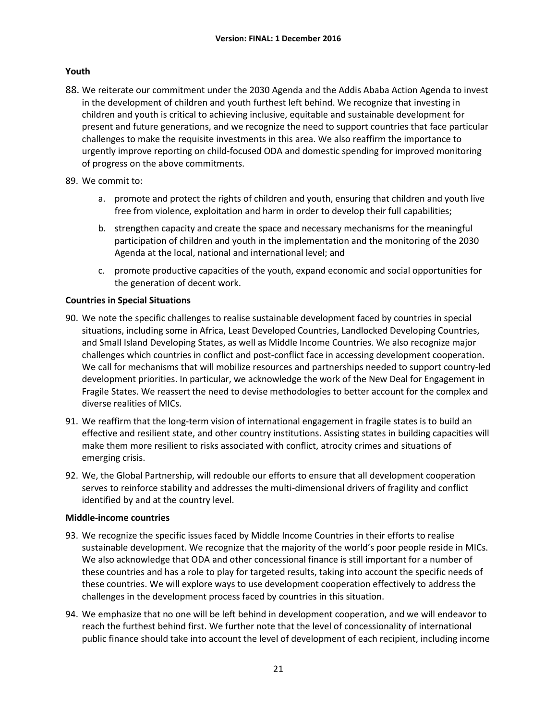### **Youth**

- 88. We reiterate our commitment under the 2030 Agenda and the Addis Ababa Action Agenda to invest in the development of children and youth furthest left behind. We recognize that investing in children and youth is critical to achieving inclusive, equitable and sustainable development for present and future generations, and we recognize the need to support countries that face particular challenges to make the requisite investments in this area. We also reaffirm the importance to urgently improve reporting on child-focused ODA and domestic spending for improved monitoring of progress on the above commitments.
- 89. We commit to:
	- a. promote and protect the rights of children and youth, ensuring that children and youth live free from violence, exploitation and harm in order to develop their full capabilities;
	- b. strengthen capacity and create the space and necessary mechanisms for the meaningful participation of children and youth in the implementation and the monitoring of the 2030 Agenda at the local, national and international level; and
	- c. promote productive capacities of the youth, expand economic and social opportunities for the generation of decent work.

### **Countries in Special Situations**

- 90. We note the specific challenges to realise sustainable development faced by countries in special situations, including some in Africa, Least Developed Countries, Landlocked Developing Countries, and Small Island Developing States, as well as Middle Income Countries. We also recognize major challenges which countries in conflict and post-conflict face in accessing development cooperation. We call for mechanisms that will mobilize resources and partnerships needed to support country-led development priorities. In particular, we acknowledge the work of the New Deal for Engagement in Fragile States. We reassert the need to devise methodologies to better account for the complex and diverse realities of MICs.
- 91. We reaffirm that the long-term vision of international engagement in fragile states is to build an effective and resilient state, and other country institutions. Assisting states in building capacities will make them more resilient to risks associated with conflict, atrocity crimes and situations of emerging crisis.
- 92. We, the Global Partnership, will redouble our efforts to ensure that all development cooperation serves to reinforce stability and addresses the multi-dimensional drivers of fragility and conflict identified by and at the country level.

### **Middle-income countries**

- 93. We recognize the specific issues faced by Middle Income Countries in their efforts to realise sustainable development. We recognize that the majority of the world's poor people reside in MICs. We also acknowledge that ODA and other concessional finance is still important for a number of these countries and has a role to play for targeted results, taking into account the specific needs of these countries. We will explore ways to use development cooperation effectively to address the challenges in the development process faced by countries in this situation.
- 94. We emphasize that no one will be left behind in development cooperation, and we will endeavor to reach the furthest behind first. We further note that the level of concessionality of international public finance should take into account the level of development of each recipient, including income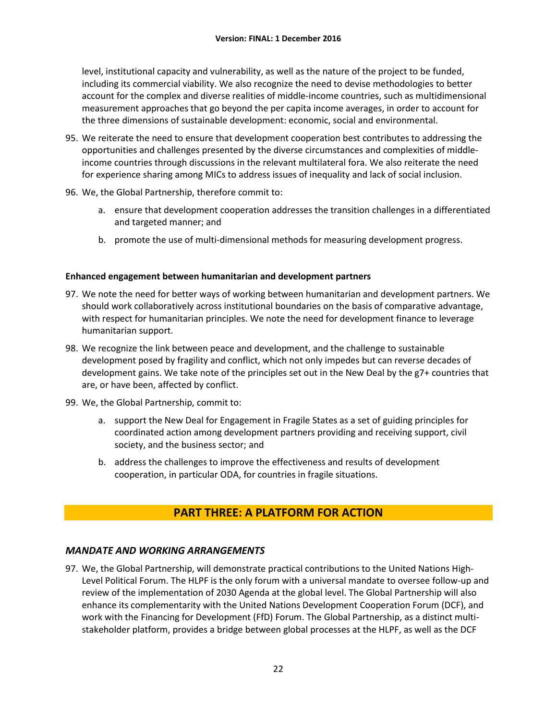level, institutional capacity and vulnerability, as well as the nature of the project to be funded, including its commercial viability. We also recognize the need to devise methodologies to better account for the complex and diverse realities of middle-income countries, such as multidimensional measurement approaches that go beyond the per capita income averages, in order to account for the three dimensions of sustainable development: economic, social and environmental.

- 95. We reiterate the need to ensure that development cooperation best contributes to addressing the opportunities and challenges presented by the diverse circumstances and complexities of middleincome countries through discussions in the relevant multilateral fora. We also reiterate the need for experience sharing among MICs to address issues of inequality and lack of social inclusion.
- 96. We, the Global Partnership, therefore commit to:
	- a. ensure that development cooperation addresses the transition challenges in a differentiated and targeted manner; and
	- b. promote the use of multi-dimensional methods for measuring development progress.

### **Enhanced engagement between humanitarian and development partners**

- 97. We note the need for better ways of working between humanitarian and development partners. We should work collaboratively across institutional boundaries on the basis of comparative advantage, with respect for humanitarian principles. We note the need for development finance to leverage humanitarian support.
- 98. We recognize the link between peace and development, and the challenge to sustainable development posed by fragility and conflict, which not only impedes but can reverse decades of development gains. We take note of the principles set out in the New Deal by the g7+ countries that are, or have been, affected by conflict.
- 99. We, the Global Partnership, commit to:
	- a. support the New Deal for Engagement in Fragile States as a set of guiding principles for coordinated action among development partners providing and receiving support, civil society, and the business sector; and
	- b. address the challenges to improve the effectiveness and results of development cooperation, in particular ODA, for countries in fragile situations.

# **PART THREE: A PLATFORM FOR ACTION**

# <span id="page-24-1"></span><span id="page-24-0"></span>*MANDATE AND WORKING ARRANGEMENTS*

97. We, the Global Partnership, will demonstrate practical contributions to the United Nations High-Level Political Forum. The HLPF is the only forum with a universal mandate to oversee follow-up and review of the implementation of 2030 Agenda at the global level. The Global Partnership will also enhance its complementarity with the United Nations Development Cooperation Forum (DCF), and work with the Financing for Development (FfD) Forum. The Global Partnership, as a distinct multistakeholder platform, provides a bridge between global processes at the HLPF, as well as the DCF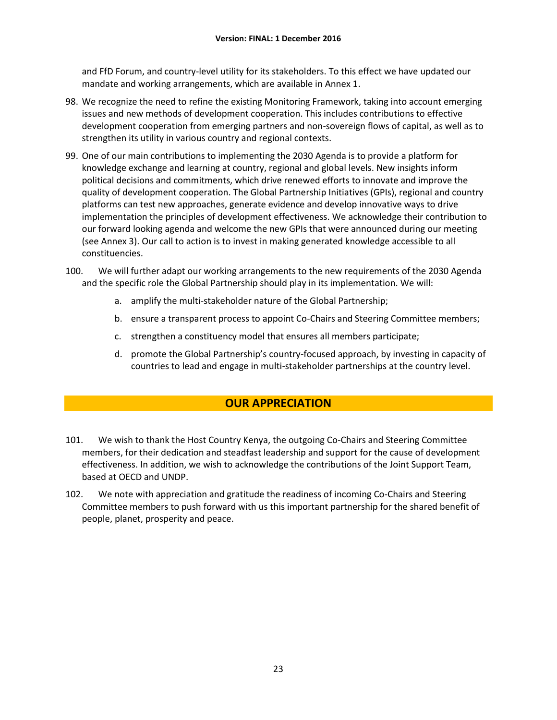and FfD Forum, and country-level utility for its stakeholders. To this effect we have updated our mandate and working arrangements, which are available in Annex 1.

- 98. We recognize the need to refine the existing Monitoring Framework, taking into account emerging issues and new methods of development cooperation. This includes contributions to effective development cooperation from emerging partners and non-sovereign flows of capital, as well as to strengthen its utility in various country and regional contexts.
- 99. One of our main contributions to implementing the 2030 Agenda is to provide a platform for knowledge exchange and learning at country, regional and global levels. New insights inform political decisions and commitments, which drive renewed efforts to innovate and improve the quality of development cooperation. The Global Partnership Initiatives (GPIs), regional and country platforms can test new approaches, generate evidence and develop innovative ways to drive implementation the principles of development effectiveness. We acknowledge their contribution to our forward looking agenda and welcome the new GPIs that were announced during our meeting (see Annex 3). Our call to action is to invest in making generated knowledge accessible to all constituencies.
- 100. We will further adapt our working arrangements to the new requirements of the 2030 Agenda and the specific role the Global Partnership should play in its implementation. We will:
	- a. amplify the multi-stakeholder nature of the Global Partnership;
	- b. ensure a transparent process to appoint Co-Chairs and Steering Committee members;
	- c. strengthen a constituency model that ensures all members participate;
	- d. promote the Global Partnership's country-focused approach, by investing in capacity of countries to lead and engage in multi-stakeholder partnerships at the country level.

# **OUR APPRECIATION**

- <span id="page-25-0"></span>101. We wish to thank the Host Country Kenya, the outgoing Co-Chairs and Steering Committee members, for their dedication and steadfast leadership and support for the cause of development effectiveness. In addition, we wish to acknowledge the contributions of the Joint Support Team, based at OECD and UNDP.
- 102. We note with appreciation and gratitude the readiness of incoming Co-Chairs and Steering Committee members to push forward with us this important partnership for the shared benefit of people, planet, prosperity and peace.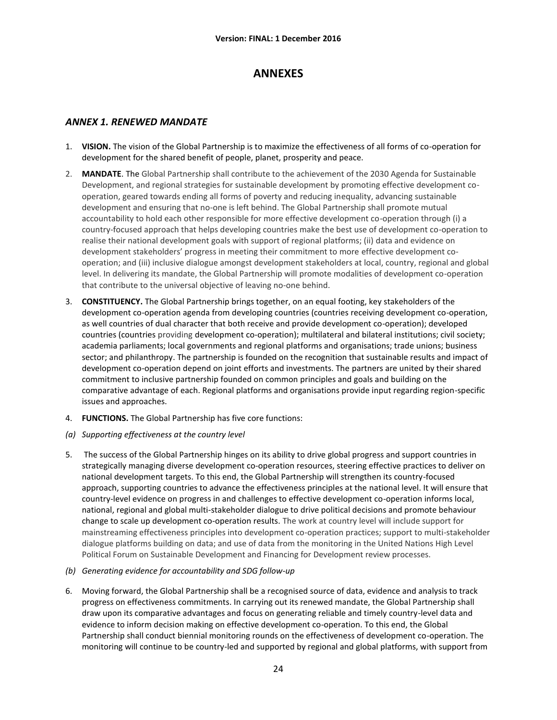# **ANNEXES**

### <span id="page-26-1"></span><span id="page-26-0"></span>*ANNEX 1. RENEWED MANDATE*

- 1. **VISION.** The vision of the Global Partnership is to maximize the effectiveness of all forms of co-operation for development for the shared benefit of people, planet, prosperity and peace.
- 2. **MANDATE**. The Global Partnership shall contribute to the achievement of the 2030 Agenda for Sustainable Development, and regional strategies for sustainable development by promoting effective development cooperation, geared towards ending all forms of poverty and reducing inequality, advancing sustainable development and ensuring that no-one is left behind. The Global Partnership shall promote mutual accountability to hold each other responsible for more effective development co-operation through (i) a country-focused approach that helps developing countries make the best use of development co-operation to realise their national development goals with support of regional platforms; (ii) data and evidence on development stakeholders' progress in meeting their commitment to more effective development cooperation; and (iii) inclusive dialogue amongst development stakeholders at local, country, regional and global level. In delivering its mandate, the Global Partnership will promote modalities of development co-operation that contribute to the universal objective of leaving no-one behind.
- 3. **CONSTITUENCY.** The Global Partnership brings together, on an equal footing, key stakeholders of the development co-operation agenda from developing countries (countries receiving development co-operation, as well countries of dual character that both receive and provide development co-operation); developed countries (countries providing development co-operation); multilateral and bilateral institutions; civil society; academia parliaments; local governments and regional platforms and organisations; trade unions; business sector; and philanthropy. The partnership is founded on the recognition that sustainable results and impact of development co-operation depend on joint efforts and investments. The partners are united by their shared commitment to inclusive partnership founded on common principles and goals and building on the comparative advantage of each. Regional platforms and organisations provide input regarding region-specific issues and approaches.
- 4. **FUNCTIONS.** The Global Partnership has five core functions:
- *(a) Supporting effectiveness at the country level*
- 5. The success of the Global Partnership hinges on its ability to drive global progress and support countries in strategically managing diverse development co-operation resources, steering effective practices to deliver on national development targets. To this end, the Global Partnership will strengthen its country-focused approach, supporting countries to advance the effectiveness principles at the national level. It will ensure that country-level evidence on progress in and challenges to effective development co-operation informs local, national, regional and global multi-stakeholder dialogue to drive political decisions and promote behaviour change to scale up development co-operation results. The work at country level will include support for mainstreaming effectiveness principles into development co-operation practices; support to multi-stakeholder dialogue platforms building on data; and use of data from the monitoring in the United Nations High Level Political Forum on Sustainable Development and Financing for Development review processes.
- *(b) Generating evidence for accountability and SDG follow-up*
- 6. Moving forward, the Global Partnership shall be a recognised source of data, evidence and analysis to track progress on effectiveness commitments. In carrying out its renewed mandate, the Global Partnership shall draw upon its comparative advantages and focus on generating reliable and timely country-level data and evidence to inform decision making on effective development co-operation. To this end, the Global Partnership shall conduct biennial monitoring rounds on the effectiveness of development co-operation. The monitoring will continue to be country-led and supported by regional and global platforms, with support from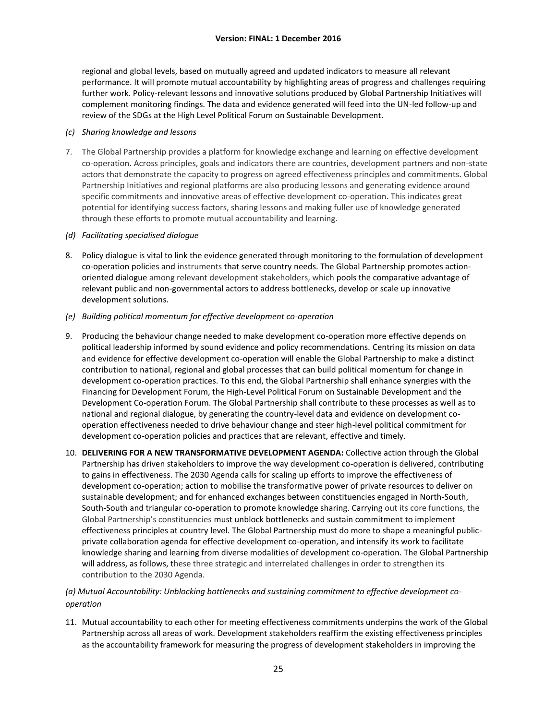regional and global levels, based on mutually agreed and updated indicators to measure all relevant performance. It will promote mutual accountability by highlighting areas of progress and challenges requiring further work. Policy-relevant lessons and innovative solutions produced by Global Partnership Initiatives will complement monitoring findings. The data and evidence generated will feed into the UN-led follow-up and review of the SDGs at the High Level Political Forum on Sustainable Development.

### *(c) Sharing knowledge and lessons*

7. The Global Partnership provides a platform for knowledge exchange and learning on effective development co-operation. Across principles, goals and indicators there are countries, development partners and non-state actors that demonstrate the capacity to progress on agreed effectiveness principles and commitments. Global Partnership Initiatives and regional platforms are also producing lessons and generating evidence around specific commitments and innovative areas of effective development co-operation. This indicates great potential for identifying success factors, sharing lessons and making fuller use of knowledge generated through these efforts to promote mutual accountability and learning.

### *(d) Facilitating specialised dialogue*

- 8. Policy dialogue is vital to link the evidence generated through monitoring to the formulation of development co-operation policies and instruments that serve country needs. The Global Partnership promotes actionoriented dialogue among relevant development stakeholders, which pools the comparative advantage of relevant public and non-governmental actors to address bottlenecks, develop or scale up innovative development solutions.
- *(e) Building political momentum for effective development co-operation*
- 9. Producing the behaviour change needed to make development co-operation more effective depends on political leadership informed by sound evidence and policy recommendations. Centring its mission on data and evidence for effective development co-operation will enable the Global Partnership to make a distinct contribution to national, regional and global processes that can build political momentum for change in development co-operation practices. To this end, the Global Partnership shall enhance synergies with the Financing for Development Forum, the High-Level Political Forum on Sustainable Development and the Development Co-operation Forum. The Global Partnership shall contribute to these processes as well as to national and regional dialogue, by generating the country-level data and evidence on development cooperation effectiveness needed to drive behaviour change and steer high-level political commitment for development co-operation policies and practices that are relevant, effective and timely.
- 10. **DELIVERING FOR A NEW TRANSFORMATIVE DEVELOPMENT AGENDA:** Collective action through the Global Partnership has driven stakeholders to improve the way development co-operation is delivered, contributing to gains in effectiveness. The 2030 Agenda calls for scaling up efforts to improve the effectiveness of development co-operation; action to mobilise the transformative power of private resources to deliver on sustainable development; and for enhanced exchanges between constituencies engaged in North-South, South-South and triangular co-operation to promote knowledge sharing. Carrying out its core functions, the Global Partnership's constituencies must unblock bottlenecks and sustain commitment to implement effectiveness principles at country level. The Global Partnership must do more to shape a meaningful publicprivate collaboration agenda for effective development co-operation, and intensify its work to facilitate knowledge sharing and learning from diverse modalities of development co-operation. The Global Partnership will address, as follows, these three strategic and interrelated challenges in order to strengthen its contribution to the 2030 Agenda.

### *(a) Mutual Accountability: Unblocking bottlenecks and sustaining commitment to effective development cooperation*

11. Mutual accountability to each other for meeting effectiveness commitments underpins the work of the Global Partnership across all areas of work. Development stakeholders reaffirm the existing effectiveness principles as the accountability framework for measuring the progress of development stakeholders in improving the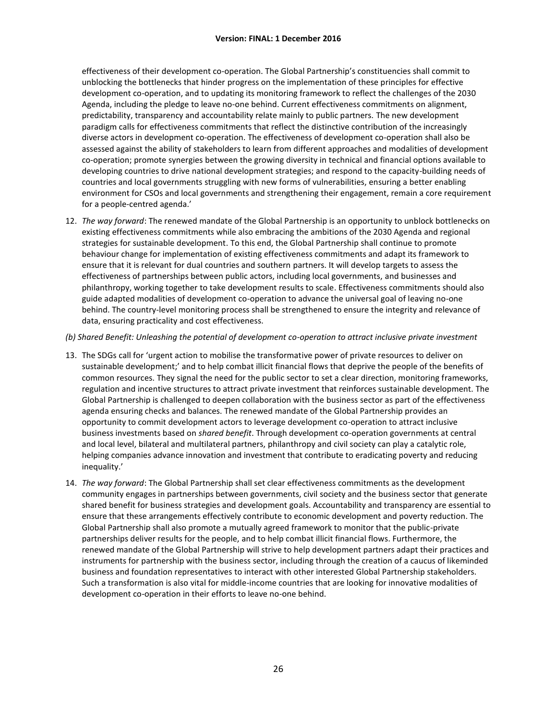effectiveness of their development co-operation. The Global Partnership's constituencies shall commit to unblocking the bottlenecks that hinder progress on the implementation of these principles for effective development co-operation, and to updating its monitoring framework to reflect the challenges of the 2030 Agenda, including the pledge to leave no-one behind. Current effectiveness commitments on alignment, predictability, transparency and accountability relate mainly to public partners. The new development paradigm calls for effectiveness commitments that reflect the distinctive contribution of the increasingly diverse actors in development co-operation. The effectiveness of development co-operation shall also be assessed against the ability of stakeholders to learn from different approaches and modalities of development co-operation; promote synergies between the growing diversity in technical and financial options available to developing countries to drive national development strategies; and respond to the capacity-building needs of countries and local governments struggling with new forms of vulnerabilities, ensuring a better enabling environment for CSOs and local governments and strengthening their engagement, remain a core requirement for a people-centred agenda.'

12. *The way forward*: The renewed mandate of the Global Partnership is an opportunity to unblock bottlenecks on existing effectiveness commitments while also embracing the ambitions of the 2030 Agenda and regional strategies for sustainable development. To this end, the Global Partnership shall continue to promote behaviour change for implementation of existing effectiveness commitments and adapt its framework to ensure that it is relevant for dual countries and southern partners. It will develop targets to assess the effectiveness of partnerships between public actors, including local governments, and businesses and philanthropy, working together to take development results to scale. Effectiveness commitments should also guide adapted modalities of development co-operation to advance the universal goal of leaving no-one behind. The country-level monitoring process shall be strengthened to ensure the integrity and relevance of data, ensuring practicality and cost effectiveness.

#### *(b) Shared Benefit: Unleashing the potential of development co-operation to attract inclusive private investment*

- 13. The SDGs call for 'urgent action to mobilise the transformative power of private resources to deliver on sustainable development;' and to help combat illicit financial flows that deprive the people of the benefits of common resources. They signal the need for the public sector to set a clear direction, monitoring frameworks, regulation and incentive structures to attract private investment that reinforces sustainable development. The Global Partnership is challenged to deepen collaboration with the business sector as part of the effectiveness agenda ensuring checks and balances. The renewed mandate of the Global Partnership provides an opportunity to commit development actors to leverage development co-operation to attract inclusive business investments based on *shared benefit*. Through development co-operation governments at central and local level, bilateral and multilateral partners, philanthropy and civil society can play a catalytic role, helping companies advance innovation and investment that contribute to eradicating poverty and reducing inequality.'
- 14. *The way forward*: The Global Partnership shall set clear effectiveness commitments as the development community engages in partnerships between governments, civil society and the business sector that generate shared benefit for business strategies and development goals. Accountability and transparency are essential to ensure that these arrangements effectively contribute to economic development and poverty reduction. The Global Partnership shall also promote a mutually agreed framework to monitor that the public-private partnerships deliver results for the people, and to help combat illicit financial flows. Furthermore, the renewed mandate of the Global Partnership will strive to help development partners adapt their practices and instruments for partnership with the business sector, including through the creation of a caucus of likeminded business and foundation representatives to interact with other interested Global Partnership stakeholders. Such a transformation is also vital for middle-income countries that are looking for innovative modalities of development co-operation in their efforts to leave no-one behind.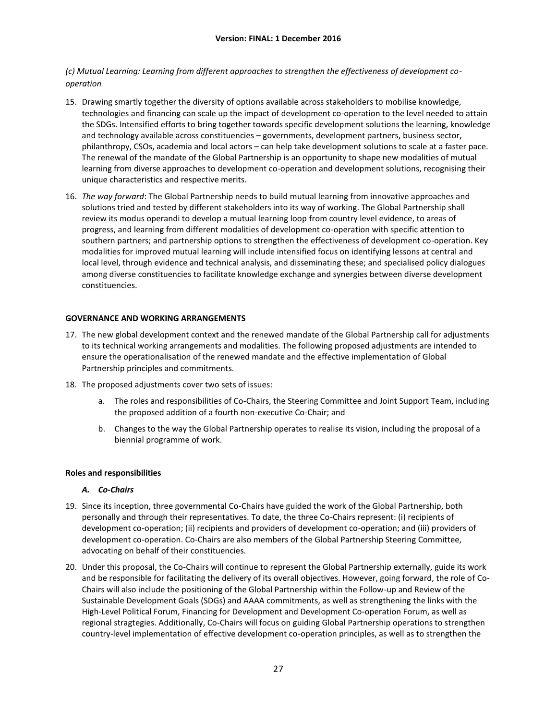*(c) Mutual Learning: Learning from different approaches to strengthen the effectiveness of development cooperation*

- 15. Drawing smartly together the diversity of options available across stakeholders to mobilise knowledge, technologies and financing can scale up the impact of development co-operation to the level needed to attain the SDGs. Intensified efforts to bring together towards specific development solutions the learning, knowledge and technology available across constituencies – governments, development partners, business sector, philanthropy, CSOs, academia and local actors – can help take development solutions to scale at a faster pace. The renewal of the mandate of the Global Partnership is an opportunity to shape new modalities of mutual learning from diverse approaches to development co-operation and development solutions, recognising their unique characteristics and respective merits.
- 16. *The way forward*: The Global Partnership needs to build mutual learning from innovative approaches and solutions tried and tested by different stakeholders into its way of working. The Global Partnership shall review its modus operandi to develop a mutual learning loop from country level evidence, to areas of progress, and learning from different modalities of development co-operation with specific attention to southern partners; and partnership options to strengthen the effectiveness of development co-operation. Key modalities for improved mutual learning will include intensified focus on identifying lessons at central and local level, through evidence and technical analysis, and disseminating these; and specialised policy dialogues among diverse constituencies to facilitate knowledge exchange and synergies between diverse development constituencies.

#### **GOVERNANCE AND WORKING ARRANGEMENTS**

- 17. The new global development context and the renewed mandate of the Global Partnership call for adjustments to its technical working arrangements and modalities. The following proposed adjustments are intended to ensure the operationalisation of the renewed mandate and the effective implementation of Global Partnership principles and commitments.
- 18. The proposed adjustments cover two sets of issues:
	- a. The roles and responsibilities of Co-Chairs, the Steering Committee and Joint Support Team, including the proposed addition of a fourth non-executive Co-Chair; and
	- b. Changes to the way the Global Partnership operates to realise its vision, including the proposal of a biennial programme of work.

#### **Roles and responsibilities**

#### *A. Co-Chairs*

- 19. Since its inception, three governmental Co-Chairs have guided the work of the Global Partnership, both personally and through their representatives. To date, the three Co-Chairs represent: (i) recipients of development co-operation; (ii) recipients and providers of development co-operation; and (iii) providers of development co-operation. Co-Chairs are also members of the Global Partnership Steering Committee, advocating on behalf of their constituencies.
- 20. Under this proposal, the Co-Chairs will continue to represent the Global Partnership externally, guide its work and be responsible for facilitating the delivery of its overall objectives. However, going forward, the role of Co-Chairs will also include the positioning of the Global Partnership within the Follow-up and Review of the Sustainable Development Goals (SDGs) and AAAA commitments, as well as strengthening the links with the High-Level Political Forum, Financing for Development and Development Co-operation Forum, as well as regional stragtegies. Additionally, Co-Chairs will focus on guiding Global Partnership operations to strengthen country-level implementation of effective development co-operation principles, as well as to strengthen the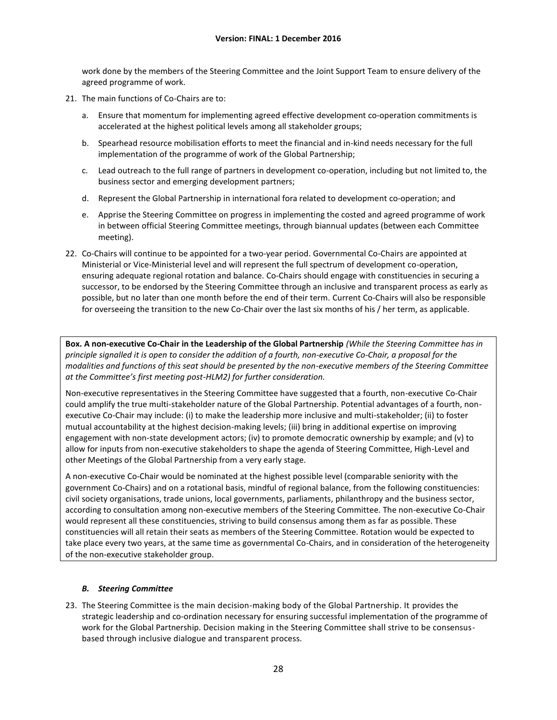work done by the members of the Steering Committee and the Joint Support Team to ensure delivery of the agreed programme of work.

- 21. The main functions of Co-Chairs are to:
	- a. Ensure that momentum for implementing agreed effective development co-operation commitments is accelerated at the highest political levels among all stakeholder groups;
	- b. Spearhead resource mobilisation efforts to meet the financial and in-kind needs necessary for the full implementation of the programme of work of the Global Partnership;
	- c. Lead outreach to the full range of partners in development co-operation, including but not limited to, the business sector and emerging development partners;
	- d. Represent the Global Partnership in international fora related to development co-operation; and
	- e. Apprise the Steering Committee on progress in implementing the costed and agreed programme of work in between official Steering Committee meetings, through biannual updates (between each Committee meeting).
- 22. Co-Chairs will continue to be appointed for a two-year period. Governmental Co-Chairs are appointed at Ministerial or Vice-Ministerial level and will represent the full spectrum of development co-operation, ensuring adequate regional rotation and balance. Co-Chairs should engage with constituencies in securing a successor, to be endorsed by the Steering Committee through an inclusive and transparent process as early as possible, but no later than one month before the end of their term. Current Co-Chairs will also be responsible for overseeing the transition to the new Co-Chair over the last six months of his / her term, as applicable.

**Box. A non-executive Co-Chair in the Leadership of the Global Partnership** *(While the Steering Committee has in principle signalled it is open to consider the addition of a fourth, non-executive Co-Chair, a proposal for the modalities and functions of this seat should be presented by the non-executive members of the Steering Committee at the Committee's first meeting post-HLM2) for further consideration.*

Non-executive representatives in the Steering Committee have suggested that a fourth, non-executive Co-Chair could amplify the true multi-stakeholder nature of the Global Partnership. Potential advantages of a fourth, nonexecutive Co-Chair may include: (i) to make the leadership more inclusive and multi-stakeholder; (ii) to foster mutual accountability at the highest decision-making levels; (iii) bring in additional expertise on improving engagement with non-state development actors; (iv) to promote democratic ownership by example; and (v) to allow for inputs from non-executive stakeholders to shape the agenda of Steering Committee, High-Level and other Meetings of the Global Partnership from a very early stage.

A non-executive Co-Chair would be nominated at the highest possible level (comparable seniority with the government Co-Chairs) and on a rotational basis, mindful of regional balance, from the following constituencies: civil society organisations, trade unions, local governments, parliaments, philanthropy and the business sector, according to consultation among non-executive members of the Steering Committee. The non-executive Co-Chair would represent all these constituencies, striving to build consensus among them as far as possible. These constituencies will all retain their seats as members of the Steering Committee. Rotation would be expected to take place every two years, at the same time as governmental Co-Chairs, and in consideration of the heterogeneity of the non-executive stakeholder group.

### *B. Steering Committee*

23. The Steering Committee is the main decision-making body of the Global Partnership. It provides the strategic leadership and co-ordination necessary for ensuring successful implementation of the programme of work for the Global Partnership. Decision making in the Steering Committee shall strive to be consensusbased through inclusive dialogue and transparent process.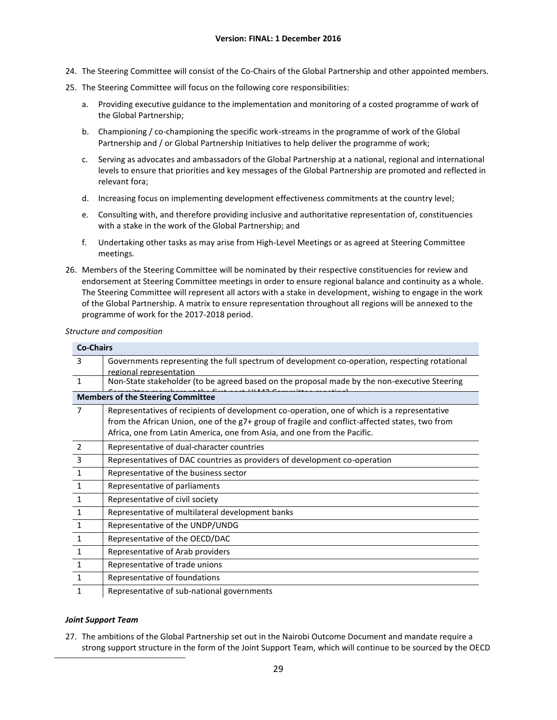- 24. The Steering Committee will consist of the Co-Chairs of the Global Partnership and other appointed members.
- 25. The Steering Committee will focus on the following core responsibilities:
	- a. Providing executive guidance to the implementation and monitoring of a costed programme of work of the Global Partnership;
	- b. Championing / co-championing the specific work-streams in the programme of work of the Global Partnership and / or Global Partnership Initiatives to help deliver the programme of work;
	- c. Serving as advocates and ambassadors of the Global Partnership at a national, regional and international levels to ensure that priorities and key messages of the Global Partnership are promoted and reflected in relevant fora;
	- d. Increasing focus on implementing development effectiveness commitments at the country level;
	- e. Consulting with, and therefore providing inclusive and authoritative representation of, constituencies with a stake in the work of the Global Partnership; and
	- f. Undertaking other tasks as may arise from High-Level Meetings or as agreed at Steering Committee meetings.
- 26. Members of the Steering Committee will be nominated by their respective constituencies for review and endorsement at Steering Committee meetings in order to ensure regional balance and continuity as a whole. The Steering Committee will represent all actors with a stake in development, wishing to engage in the work of the Global Partnership. A matrix to ensure representation throughout all regions will be annexed to the programme of work for the 2017-2018 period.

#### *Structure and composition*

| <b>Co-Chairs</b> |                                                                                                                                                                                                                                                                           |
|------------------|---------------------------------------------------------------------------------------------------------------------------------------------------------------------------------------------------------------------------------------------------------------------------|
| 3                | Governments representing the full spectrum of development co-operation, respecting rotational                                                                                                                                                                             |
|                  | regional representation                                                                                                                                                                                                                                                   |
| $\mathbf{1}$     | Non-State stakeholder (to be agreed based on the proposal made by the non-executive Steering                                                                                                                                                                              |
|                  | <b>Members of the Steering Committee</b>                                                                                                                                                                                                                                  |
| 7                | Representatives of recipients of development co-operation, one of which is a representative<br>from the African Union, one of the g7+ group of fragile and conflict-affected states, two from<br>Africa, one from Latin America, one from Asia, and one from the Pacific. |
| $\overline{2}$   | Representative of dual-character countries                                                                                                                                                                                                                                |
| $\overline{3}$   | Representatives of DAC countries as providers of development co-operation                                                                                                                                                                                                 |
| $\mathbf{1}$     | Representative of the business sector                                                                                                                                                                                                                                     |
| $\mathbf{1}$     | Representative of parliaments                                                                                                                                                                                                                                             |
| $\mathbf 1$      | Representative of civil society                                                                                                                                                                                                                                           |
| $\mathbf{1}$     | Representative of multilateral development banks                                                                                                                                                                                                                          |
| $\mathbf{1}$     | Representative of the UNDP/UNDG                                                                                                                                                                                                                                           |
| $\mathbf{1}$     | Representative of the OECD/DAC                                                                                                                                                                                                                                            |
| $\mathbf{1}$     | Representative of Arab providers                                                                                                                                                                                                                                          |
| $\mathbf{1}$     | Representative of trade unions                                                                                                                                                                                                                                            |
| 1                | Representative of foundations                                                                                                                                                                                                                                             |
| 1                | Representative of sub-national governments                                                                                                                                                                                                                                |

### *Joint Support Team*

27. The ambitions of the Global Partnership set out in the Nairobi Outcome Document and mandate require a strong support structure in the form of the Joint Support Team, which will continue to be sourced by the OECD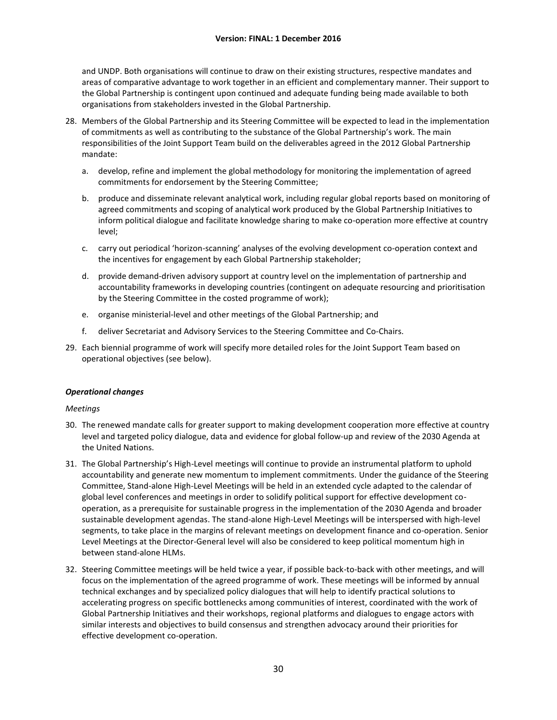and UNDP. Both organisations will continue to draw on their existing structures, respective mandates and areas of comparative advantage to work together in an efficient and complementary manner. Their support to the Global Partnership is contingent upon continued and adequate funding being made available to both organisations from stakeholders invested in the Global Partnership.

- 28. Members of the Global Partnership and its Steering Committee will be expected to lead in the implementation of commitments as well as contributing to the substance of the Global Partnership's work. The main responsibilities of the Joint Support Team build on the deliverables agreed in the 2012 Global Partnership mandate:
	- a. develop, refine and implement the global methodology for monitoring the implementation of agreed commitments for endorsement by the Steering Committee;
	- b. produce and disseminate relevant analytical work, including regular global reports based on monitoring of agreed commitments and scoping of analytical work produced by the Global Partnership Initiatives to inform political dialogue and facilitate knowledge sharing to make co-operation more effective at country level;
	- c. carry out periodical 'horizon-scanning' analyses of the evolving development co-operation context and the incentives for engagement by each Global Partnership stakeholder;
	- d. provide demand-driven advisory support at country level on the implementation of partnership and accountability frameworks in developing countries (contingent on adequate resourcing and prioritisation by the Steering Committee in the costed programme of work);
	- e. organise ministerial-level and other meetings of the Global Partnership; and
	- f. deliver Secretariat and Advisory Services to the Steering Committee and Co-Chairs.
- 29. Each biennial programme of work will specify more detailed roles for the Joint Support Team based on operational objectives (see below).

#### *Operational changes*

#### *Meetings*

- 30. The renewed mandate calls for greater support to making development cooperation more effective at country level and targeted policy dialogue, data and evidence for global follow-up and review of the 2030 Agenda at the United Nations.
- 31. The Global Partnership's High-Level meetings will continue to provide an instrumental platform to uphold accountability and generate new momentum to implement commitments. Under the guidance of the Steering Committee, Stand-alone High-Level Meetings will be held in an extended cycle adapted to the calendar of global level conferences and meetings in order to solidify political support for effective development cooperation, as a prerequisite for sustainable progress in the implementation of the 2030 Agenda and broader sustainable development agendas. The stand-alone High-Level Meetings will be interspersed with high-level segments, to take place in the margins of relevant meetings on development finance and co-operation. Senior Level Meetings at the Director-General level will also be considered to keep political momentum high in between stand-alone HLMs.
- 32. Steering Committee meetings will be held twice a year, if possible back-to-back with other meetings, and will focus on the implementation of the agreed programme of work. These meetings will be informed by annual technical exchanges and by specialized policy dialogues that will help to identify practical solutions to accelerating progress on specific bottlenecks among communities of interest, coordinated with the work of Global Partnership Initiatives and their workshops, regional platforms and dialogues to engage actors with similar interests and objectives to build consensus and strengthen advocacy around their priorities for effective development co-operation.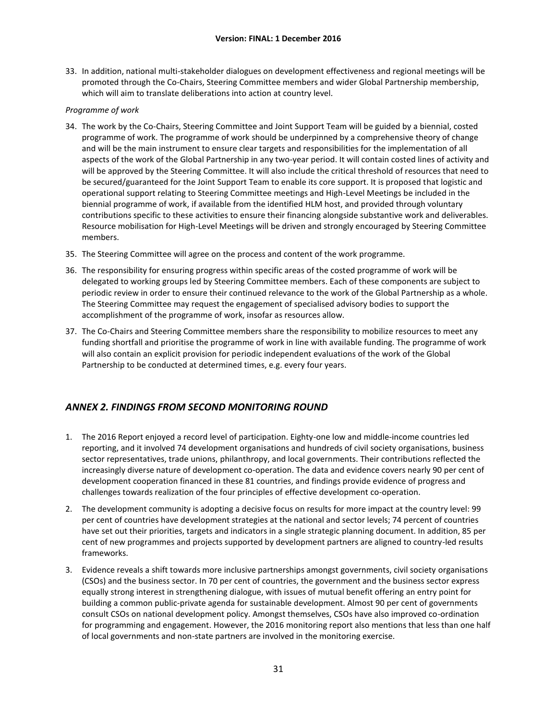33. In addition, national multi-stakeholder dialogues on development effectiveness and regional meetings will be promoted through the Co-Chairs, Steering Committee members and wider Global Partnership membership, which will aim to translate deliberations into action at country level.

### *Programme of work*

- 34. The work by the Co-Chairs, Steering Committee and Joint Support Team will be guided by a biennial, costed programme of work. The programme of work should be underpinned by a comprehensive theory of change and will be the main instrument to ensure clear targets and responsibilities for the implementation of all aspects of the work of the Global Partnership in any two-year period. It will contain costed lines of activity and will be approved by the Steering Committee. It will also include the critical threshold of resources that need to be secured/guaranteed for the Joint Support Team to enable its core support. It is proposed that logistic and operational support relating to Steering Committee meetings and High-Level Meetings be included in the biennial programme of work, if available from the identified HLM host, and provided through voluntary contributions specific to these activities to ensure their financing alongside substantive work and deliverables. Resource mobilisation for High-Level Meetings will be driven and strongly encouraged by Steering Committee members.
- 35. The Steering Committee will agree on the process and content of the work programme.
- 36. The responsibility for ensuring progress within specific areas of the costed programme of work will be delegated to working groups led by Steering Committee members. Each of these components are subject to periodic review in order to ensure their continued relevance to the work of the Global Partnership as a whole. The Steering Committee may request the engagement of specialised advisory bodies to support the accomplishment of the programme of work, insofar as resources allow.
- 37. The Co-Chairs and Steering Committee members share the responsibility to mobilize resources to meet any funding shortfall and prioritise the programme of work in line with available funding. The programme of work will also contain an explicit provision for periodic independent evaluations of the work of the Global Partnership to be conducted at determined times, e.g. every four years.

# <span id="page-33-0"></span>*ANNEX 2. FINDINGS FROM SECOND MONITORING ROUND*

- 1. The 2016 Report enjoyed a record level of participation. Eighty-one low and middle-income countries led reporting, and it involved 74 development organisations and hundreds of civil society organisations, business sector representatives, trade unions, philanthropy, and local governments. Their contributions reflected the increasingly diverse nature of development co-operation. The data and evidence covers nearly 90 per cent of development cooperation financed in these 81 countries, and findings provide evidence of progress and challenges towards realization of the four principles of effective development co-operation.
- 2. The development community is adopting a decisive focus on results for more impact at the country level: 99 per cent of countries have development strategies at the national and sector levels; 74 percent of countries have set out their priorities, targets and indicators in a single strategic planning document. In addition, 85 per cent of new programmes and projects supported by development partners are aligned to country-led results frameworks.
- 3. Evidence reveals a shift towards more inclusive partnerships amongst governments, civil society organisations (CSOs) and the business sector. In 70 per cent of countries, the government and the business sector express equally strong interest in strengthening dialogue, with issues of mutual benefit offering an entry point for building a common public-private agenda for sustainable development. Almost 90 per cent of governments consult CSOs on national development policy. Amongst themselves, CSOs have also improved co-ordination for programming and engagement. However, the 2016 monitoring report also mentions that less than one half of local governments and non-state partners are involved in the monitoring exercise.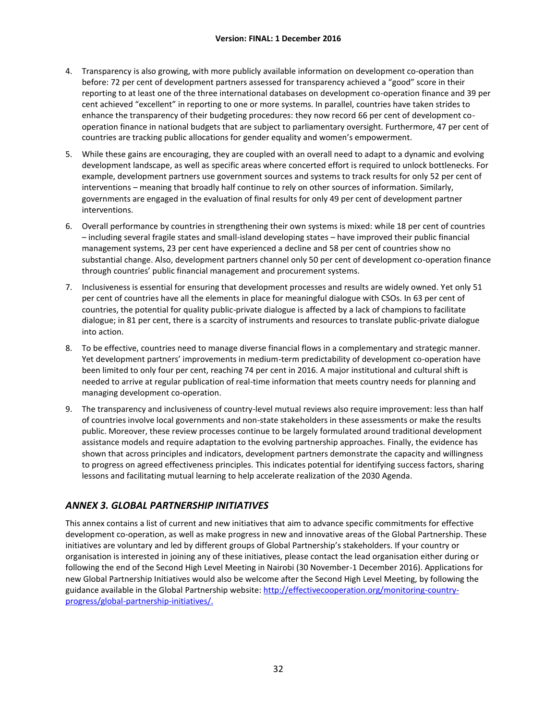- 4. Transparency is also growing, with more publicly available information on development co-operation than before: 72 per cent of development partners assessed for transparency achieved a "good" score in their reporting to at least one of the three international databases on development co-operation finance and 39 per cent achieved "excellent" in reporting to one or more systems. In parallel, countries have taken strides to enhance the transparency of their budgeting procedures: they now record 66 per cent of development cooperation finance in national budgets that are subject to parliamentary oversight. Furthermore, 47 per cent of countries are tracking public allocations for gender equality and women's empowerment.
- 5. While these gains are encouraging, they are coupled with an overall need to adapt to a dynamic and evolving development landscape, as well as specific areas where concerted effort is required to unlock bottlenecks. For example, development partners use government sources and systems to track results for only 52 per cent of interventions – meaning that broadly half continue to rely on other sources of information. Similarly, governments are engaged in the evaluation of final results for only 49 per cent of development partner interventions.
- 6. Overall performance by countries in strengthening their own systems is mixed: while 18 per cent of countries – including several fragile states and small-island developing states – have improved their public financial management systems, 23 per cent have experienced a decline and 58 per cent of countries show no substantial change. Also, development partners channel only 50 per cent of development co-operation finance through countries' public financial management and procurement systems.
- 7. Inclusiveness is essential for ensuring that development processes and results are widely owned. Yet only 51 per cent of countries have all the elements in place for meaningful dialogue with CSOs. In 63 per cent of countries, the potential for quality public-private dialogue is affected by a lack of champions to facilitate dialogue; in 81 per cent, there is a scarcity of instruments and resources to translate public-private dialogue into action.
- 8. To be effective, countries need to manage diverse financial flows in a complementary and strategic manner. Yet development partners' improvements in medium-term predictability of development co-operation have been limited to only four per cent, reaching 74 per cent in 2016. A major institutional and cultural shift is needed to arrive at regular publication of real-time information that meets country needs for planning and managing development co-operation.
- 9. The transparency and inclusiveness of country-level mutual reviews also require improvement: less than half of countries involve local governments and non-state stakeholders in these assessments or make the results public. Moreover, these review processes continue to be largely formulated around traditional development assistance models and require adaptation to the evolving partnership approaches. Finally, the evidence has shown that across principles and indicators, development partners demonstrate the capacity and willingness to progress on agreed effectiveness principles. This indicates potential for identifying success factors, sharing lessons and facilitating mutual learning to help accelerate realization of the 2030 Agenda.

# <span id="page-34-0"></span>*ANNEX 3. GLOBAL PARTNERSHIP INITIATIVES*

This annex contains a list of current and new initiatives that aim to advance specific commitments for effective development co-operation, as well as make progress in new and innovative areas of the Global Partnership. These initiatives are voluntary and led by different groups of Global Partnership's stakeholders. If your country or organisation is interested in joining any of these initiatives, please contact the lead organisation either during or following the end of the Second High Level Meeting in Nairobi (30 November-1 December 2016). Applications for new Global Partnership Initiatives would also be welcome after the Second High Level Meeting, by following the guidance available in the Global Partnership website[: http://effectivecooperation.org/monitoring-country](http://effectivecooperation.org/monitoring-country-progress/global-partnership-initiatives/)[progress/global-partnership-initiatives/.](http://effectivecooperation.org/monitoring-country-progress/global-partnership-initiatives/)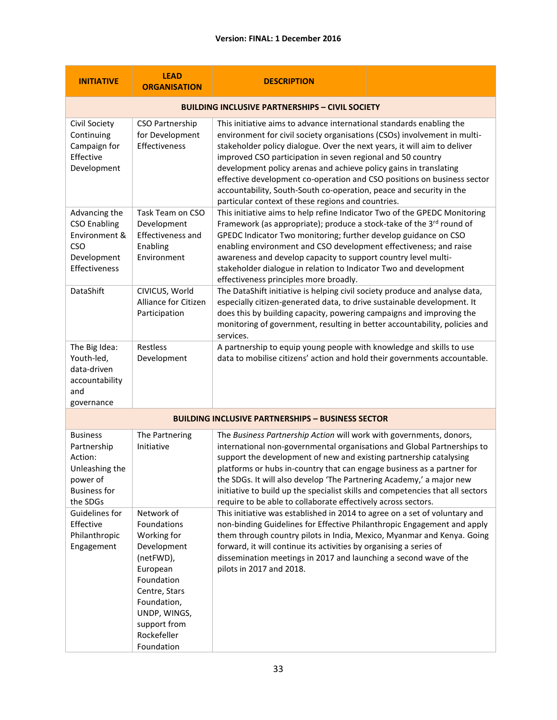| <b>INITIATIVE</b>                                                                                          | <b>LEAD</b><br><b>ORGANISATION</b>                                                                                                                                                          | <b>DESCRIPTION</b>                                                                                                                                                                                                                                                                                                                                                                                                                                                                                                                                                       |  |
|------------------------------------------------------------------------------------------------------------|---------------------------------------------------------------------------------------------------------------------------------------------------------------------------------------------|--------------------------------------------------------------------------------------------------------------------------------------------------------------------------------------------------------------------------------------------------------------------------------------------------------------------------------------------------------------------------------------------------------------------------------------------------------------------------------------------------------------------------------------------------------------------------|--|
| <b>BUILDING INCLUSIVE PARTNERSHIPS - CIVIL SOCIETY</b>                                                     |                                                                                                                                                                                             |                                                                                                                                                                                                                                                                                                                                                                                                                                                                                                                                                                          |  |
| Civil Society<br>Continuing<br>Campaign for<br>Effective<br>Development                                    | CSO Partnership<br>for Development<br>Effectiveness                                                                                                                                         | This initiative aims to advance international standards enabling the<br>environment for civil society organisations (CSOs) involvement in multi-<br>stakeholder policy dialogue. Over the next years, it will aim to deliver<br>improved CSO participation in seven regional and 50 country<br>development policy arenas and achieve policy gains in translating<br>effective development co-operation and CSO positions on business sector<br>accountability, South-South co-operation, peace and security in the<br>particular context of these regions and countries. |  |
| Advancing the<br><b>CSO Enabling</b><br>Environment &<br>CSO<br>Development<br>Effectiveness               | Task Team on CSO<br>Development<br>Effectiveness and<br>Enabling<br>Environment                                                                                                             | This initiative aims to help refine Indicator Two of the GPEDC Monitoring<br>Framework (as appropriate); produce a stock-take of the 3rd round of<br>GPEDC Indicator Two monitoring; further develop guidance on CSO<br>enabling environment and CSO development effectiveness; and raise<br>awareness and develop capacity to support country level multi-<br>stakeholder dialogue in relation to Indicator Two and development<br>effectiveness principles more broadly.                                                                                               |  |
| DataShift                                                                                                  | CIVICUS, World<br><b>Alliance for Citizen</b><br>Participation                                                                                                                              | The DataShift initiative is helping civil society produce and analyse data,<br>especially citizen-generated data, to drive sustainable development. It<br>does this by building capacity, powering campaigns and improving the<br>monitoring of government, resulting in better accountability, policies and<br>services.                                                                                                                                                                                                                                                |  |
| The Big Idea:<br>Youth-led,<br>data-driven<br>accountability<br>and<br>governance                          | Restless<br>Development                                                                                                                                                                     | A partnership to equip young people with knowledge and skills to use<br>data to mobilise citizens' action and hold their governments accountable.                                                                                                                                                                                                                                                                                                                                                                                                                        |  |
|                                                                                                            |                                                                                                                                                                                             | <b>BUILDING INCLUSIVE PARTNERSHIPS - BUSINESS SECTOR</b>                                                                                                                                                                                                                                                                                                                                                                                                                                                                                                                 |  |
| <b>Business</b><br>Partnership<br>Action:<br>Unleashing the<br>power of<br><b>Business for</b><br>the SDGs | The Partnering<br>Initiative                                                                                                                                                                | The Business Partnership Action will work with governments, donors,<br>international non-governmental organisations and Global Partnerships to<br>support the development of new and existing partnership catalysing<br>platforms or hubs in-country that can engage business as a partner for<br>the SDGs. It will also develop 'The Partnering Academy,' a major new<br>initiative to build up the specialist skills and competencies that all sectors<br>require to be able to collaborate effectively across sectors.                                                |  |
| Guidelines for<br>Effective<br>Philanthropic<br>Engagement                                                 | Network of<br>Foundations<br>Working for<br>Development<br>(netFWD),<br>European<br>Foundation<br>Centre, Stars<br>Foundation,<br>UNDP, WINGS,<br>support from<br>Rockefeller<br>Foundation | This initiative was established in 2014 to agree on a set of voluntary and<br>non-binding Guidelines for Effective Philanthropic Engagement and apply<br>them through country pilots in India, Mexico, Myanmar and Kenya. Going<br>forward, it will continue its activities by organising a series of<br>dissemination meetings in 2017 and launching a second wave of the<br>pilots in 2017 and 2018.                                                                                                                                                                   |  |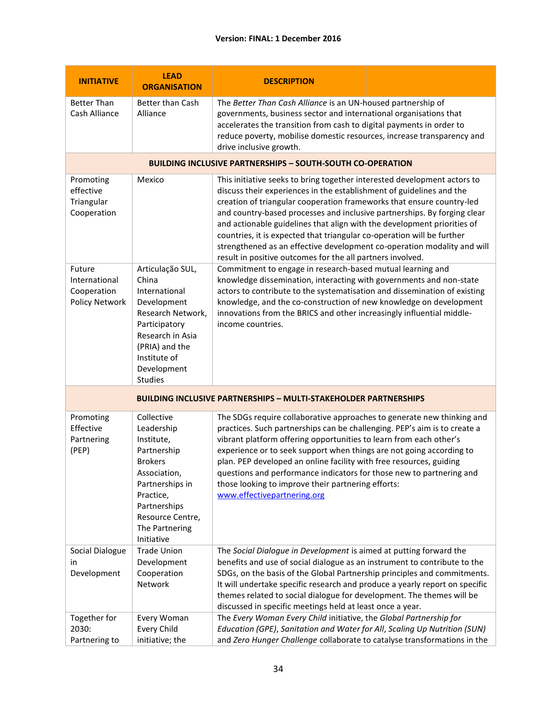### **Version: FINAL: 1 December 2016**

| <b>INITIATIVE</b>                                                       | <b>LEAD</b><br><b>ORGANISATION</b>                                                                                                                                                          | <b>DESCRIPTION</b>                                                                                                                                                                                                                                                                                                                                                                                                                                                                                                                                                                                  |  |  |
|-------------------------------------------------------------------------|---------------------------------------------------------------------------------------------------------------------------------------------------------------------------------------------|-----------------------------------------------------------------------------------------------------------------------------------------------------------------------------------------------------------------------------------------------------------------------------------------------------------------------------------------------------------------------------------------------------------------------------------------------------------------------------------------------------------------------------------------------------------------------------------------------------|--|--|
| <b>Better Than</b><br>Cash Alliance                                     | Better than Cash<br>Alliance                                                                                                                                                                | The Better Than Cash Alliance is an UN-housed partnership of<br>governments, business sector and international organisations that<br>accelerates the transition from cash to digital payments in order to<br>reduce poverty, mobilise domestic resources, increase transparency and<br>drive inclusive growth.                                                                                                                                                                                                                                                                                      |  |  |
|                                                                         | <b>BUILDING INCLUSIVE PARTNERSHIPS - SOUTH-SOUTH CO-OPERATION</b>                                                                                                                           |                                                                                                                                                                                                                                                                                                                                                                                                                                                                                                                                                                                                     |  |  |
| Promoting<br>effective<br>Triangular<br>Cooperation                     | Mexico                                                                                                                                                                                      | This initiative seeks to bring together interested development actors to<br>discuss their experiences in the establishment of guidelines and the<br>creation of triangular cooperation frameworks that ensure country-led<br>and country-based processes and inclusive partnerships. By forging clear<br>and actionable guidelines that align with the development priorities of<br>countries, it is expected that triangular co-operation will be further<br>strengthened as an effective development co-operation modality and will<br>result in positive outcomes for the all partners involved. |  |  |
| Future<br>International<br>Cooperation<br>Policy Network                | Articulação SUL,<br>China<br>International<br>Development<br>Research Network,<br>Participatory<br>Research in Asia<br>(PRIA) and the<br>Institute of<br>Development<br>Studies             | Commitment to engage in research-based mutual learning and<br>knowledge dissemination, interacting with governments and non-state<br>actors to contribute to the systematisation and dissemination of existing<br>knowledge, and the co-construction of new knowledge on development<br>innovations from the BRICS and other increasingly influential middle-<br>income countries.                                                                                                                                                                                                                  |  |  |
| <b>BUILDING INCLUSIVE PARTNERSHIPS - MULTI-STAKEHOLDER PARTNERSHIPS</b> |                                                                                                                                                                                             |                                                                                                                                                                                                                                                                                                                                                                                                                                                                                                                                                                                                     |  |  |
| Promoting<br>Effective<br>Partnering<br>(PEP)                           | Collective<br>Leadership<br>Institute,<br>Partnership<br><b>Brokers</b><br>Association,<br>Partnerships in<br>Practice,<br>Partnerships<br>Resource Centre,<br>The Partnering<br>Initiative | The SDGs require collaborative approaches to generate new thinking and<br>practices. Such partnerships can be challenging. PEP's aim is to create a<br>vibrant platform offering opportunities to learn from each other's<br>experience or to seek support when things are not going according to<br>plan. PEP developed an online facility with free resources, guiding<br>questions and performance indicators for those new to partnering and<br>those looking to improve their partnering efforts:<br>www.effectivepartnering.org                                                               |  |  |
| Social Dialogue<br>in<br>Development                                    | <b>Trade Union</b><br>Development<br>Cooperation<br>Network                                                                                                                                 | The Social Dialogue in Development is aimed at putting forward the<br>benefits and use of social dialogue as an instrument to contribute to the<br>SDGs, on the basis of the Global Partnership principles and commitments.<br>It will undertake specific research and produce a yearly report on specific<br>themes related to social dialogue for development. The themes will be<br>discussed in specific meetings held at least once a year.                                                                                                                                                    |  |  |
| Together for<br>2030:<br>Partnering to                                  | Every Woman<br>Every Child<br>initiative; the                                                                                                                                               | The Every Woman Every Child initiative, the Global Partnership for<br>Education (GPE), Sanitation and Water for All, Scaling Up Nutrition (SUN)<br>and Zero Hunger Challenge collaborate to catalyse transformations in the                                                                                                                                                                                                                                                                                                                                                                         |  |  |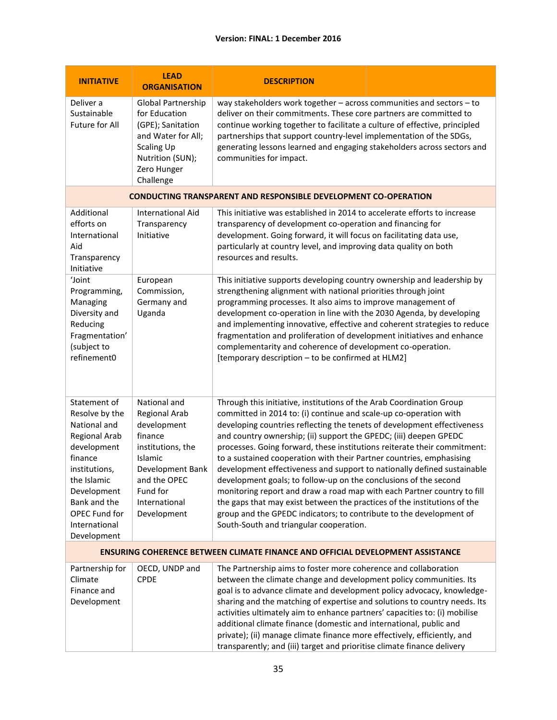### **Version: FINAL: 1 December 2016**

| <b>INITIATIVE</b>                                                                                                                                                                                                | <b>LEAD</b><br><b>ORGANISATION</b>                                                                                                                                      | <b>DESCRIPTION</b>                                                                                                                                                                                                                                                                                                                                                                                                                                                                                                                                                                                                                                                                                                                                                                                                                                                    |                                                                                                                                                                                                                                                                                                                                                                                                                                                                                                       |  |
|------------------------------------------------------------------------------------------------------------------------------------------------------------------------------------------------------------------|-------------------------------------------------------------------------------------------------------------------------------------------------------------------------|-----------------------------------------------------------------------------------------------------------------------------------------------------------------------------------------------------------------------------------------------------------------------------------------------------------------------------------------------------------------------------------------------------------------------------------------------------------------------------------------------------------------------------------------------------------------------------------------------------------------------------------------------------------------------------------------------------------------------------------------------------------------------------------------------------------------------------------------------------------------------|-------------------------------------------------------------------------------------------------------------------------------------------------------------------------------------------------------------------------------------------------------------------------------------------------------------------------------------------------------------------------------------------------------------------------------------------------------------------------------------------------------|--|
| Deliver a<br>Sustainable<br>Future for All                                                                                                                                                                       | Global Partnership<br>for Education<br>(GPE); Sanitation<br>and Water for All;<br><b>Scaling Up</b><br>Nutrition (SUN);<br>Zero Hunger<br>Challenge                     | way stakeholders work together - across communities and sectors - to<br>deliver on their commitments. These core partners are committed to<br>continue working together to facilitate a culture of effective, principled<br>partnerships that support country-level implementation of the SDGs,<br>generating lessons learned and engaging stakeholders across sectors and<br>communities for impact.                                                                                                                                                                                                                                                                                                                                                                                                                                                                 |                                                                                                                                                                                                                                                                                                                                                                                                                                                                                                       |  |
|                                                                                                                                                                                                                  |                                                                                                                                                                         | <b>CONDUCTING TRANSPARENT AND RESPONSIBLE DEVELOPMENT CO-OPERATION</b>                                                                                                                                                                                                                                                                                                                                                                                                                                                                                                                                                                                                                                                                                                                                                                                                |                                                                                                                                                                                                                                                                                                                                                                                                                                                                                                       |  |
| Additional<br>efforts on<br>International<br>Aid<br>Transparency<br>Initiative                                                                                                                                   | <b>International Aid</b><br>Transparency<br>Initiative                                                                                                                  | This initiative was established in 2014 to accelerate efforts to increase<br>transparency of development co-operation and financing for<br>development. Going forward, it will focus on facilitating data use,<br>particularly at country level, and improving data quality on both<br>resources and results.                                                                                                                                                                                                                                                                                                                                                                                                                                                                                                                                                         |                                                                                                                                                                                                                                                                                                                                                                                                                                                                                                       |  |
| 'Joint<br>Programming,<br>Managing<br>Diversity and<br>Reducing<br>Fragmentation'<br>(subject to<br>refinement0                                                                                                  | European<br>Commission,<br>Germany and<br>Uganda                                                                                                                        | [temporary description - to be confirmed at HLM2]                                                                                                                                                                                                                                                                                                                                                                                                                                                                                                                                                                                                                                                                                                                                                                                                                     | This initiative supports developing country ownership and leadership by<br>strengthening alignment with national priorities through joint<br>programming processes. It also aims to improve management of<br>development co-operation in line with the 2030 Agenda, by developing<br>and implementing innovative, effective and coherent strategies to reduce<br>fragmentation and proliferation of development initiatives and enhance<br>complementarity and coherence of development co-operation. |  |
| Statement of<br>Resolve by the<br>National and<br><b>Regional Arab</b><br>development<br>finance<br>institutions,<br>the Islamic<br>Development<br>Bank and the<br>OPEC Fund for<br>International<br>Development | National and<br>Regional Arab<br>development<br>finance<br>institutions, the<br>Islamic<br>Development Bank<br>and the OPEC<br>Fund for<br>International<br>Development | Through this initiative, institutions of the Arab Coordination Group<br>committed in 2014 to: (i) continue and scale-up co-operation with<br>developing countries reflecting the tenets of development effectiveness<br>and country ownership; (ii) support the GPEDC; (iii) deepen GPEDC<br>processes. Going forward, these institutions reiterate their commitment:<br>to a sustained cooperation with their Partner countries, emphasising<br>development effectiveness and support to nationally defined sustainable<br>development goals; to follow-up on the conclusions of the second<br>monitoring report and draw a road map with each Partner country to fill<br>the gaps that may exist between the practices of the institutions of the<br>group and the GPEDC indicators; to contribute to the development of<br>South-South and triangular cooperation. |                                                                                                                                                                                                                                                                                                                                                                                                                                                                                                       |  |
| <b>ENSURING COHERENCE BETWEEN CLIMATE FINANCE AND OFFICIAL DEVELOPMENT ASSISTANCE</b>                                                                                                                            |                                                                                                                                                                         |                                                                                                                                                                                                                                                                                                                                                                                                                                                                                                                                                                                                                                                                                                                                                                                                                                                                       |                                                                                                                                                                                                                                                                                                                                                                                                                                                                                                       |  |
| Partnership for<br>Climate<br>Finance and<br>Development                                                                                                                                                         | OECD, UNDP and<br><b>CPDE</b>                                                                                                                                           | The Partnership aims to foster more coherence and collaboration<br>between the climate change and development policy communities. Its<br>goal is to advance climate and development policy advocacy, knowledge-<br>sharing and the matching of expertise and solutions to country needs. Its<br>activities ultimately aim to enhance partners' capacities to: (i) mobilise<br>additional climate finance (domestic and international, public and<br>private); (ii) manage climate finance more effectively, efficiently, and<br>transparently; and (iii) target and prioritise climate finance delivery                                                                                                                                                                                                                                                               |                                                                                                                                                                                                                                                                                                                                                                                                                                                                                                       |  |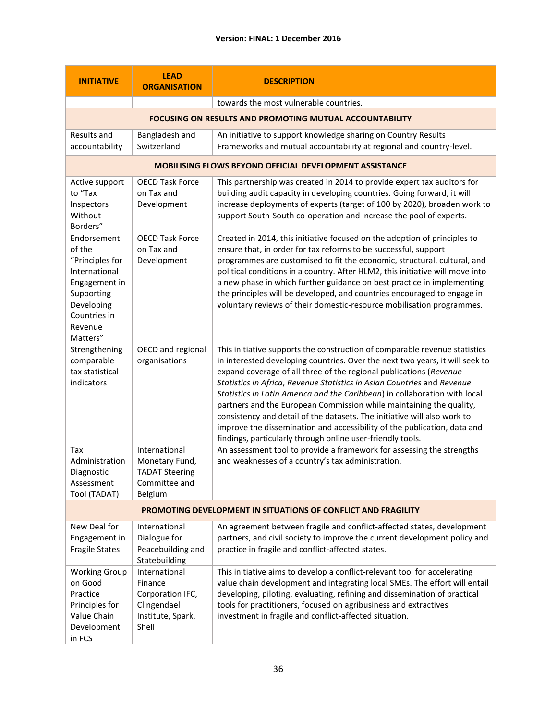| <b>INITIATIVE</b>                                                                                                                             | <b>LEAD</b><br><b>ORGANISATION</b>                                                        | <b>DESCRIPTION</b>                                                                                                                                                                                                                                                                                                                                                                                                                                                                                                                                                                                                                                                                                                                                                                                                   |  |  |
|-----------------------------------------------------------------------------------------------------------------------------------------------|-------------------------------------------------------------------------------------------|----------------------------------------------------------------------------------------------------------------------------------------------------------------------------------------------------------------------------------------------------------------------------------------------------------------------------------------------------------------------------------------------------------------------------------------------------------------------------------------------------------------------------------------------------------------------------------------------------------------------------------------------------------------------------------------------------------------------------------------------------------------------------------------------------------------------|--|--|
|                                                                                                                                               |                                                                                           | towards the most vulnerable countries.                                                                                                                                                                                                                                                                                                                                                                                                                                                                                                                                                                                                                                                                                                                                                                               |  |  |
|                                                                                                                                               |                                                                                           | FOCUSING ON RESULTS AND PROMOTING MUTUAL ACCOUNTABILITY                                                                                                                                                                                                                                                                                                                                                                                                                                                                                                                                                                                                                                                                                                                                                              |  |  |
| Results and<br>accountability                                                                                                                 | Bangladesh and<br>Switzerland                                                             | An initiative to support knowledge sharing on Country Results<br>Frameworks and mutual accountability at regional and country-level.                                                                                                                                                                                                                                                                                                                                                                                                                                                                                                                                                                                                                                                                                 |  |  |
|                                                                                                                                               |                                                                                           | <b>MOBILISING FLOWS BEYOND OFFICIAL DEVELOPMENT ASSISTANCE</b>                                                                                                                                                                                                                                                                                                                                                                                                                                                                                                                                                                                                                                                                                                                                                       |  |  |
| Active support<br>to "Tax<br>Inspectors<br>Without<br>Borders"                                                                                | <b>OECD Task Force</b><br>on Tax and<br>Development                                       | This partnership was created in 2014 to provide expert tax auditors for<br>building audit capacity in developing countries. Going forward, it will<br>increase deployments of experts (target of 100 by 2020), broaden work to<br>support South-South co-operation and increase the pool of experts.                                                                                                                                                                                                                                                                                                                                                                                                                                                                                                                 |  |  |
| Endorsement<br>of the<br>"Principles for<br>International<br>Engagement in<br>Supporting<br>Developing<br>Countries in<br>Revenue<br>Matters" | <b>OECD Task Force</b><br>on Tax and<br>Development                                       | Created in 2014, this initiative focused on the adoption of principles to<br>ensure that, in order for tax reforms to be successful, support<br>programmes are customised to fit the economic, structural, cultural, and<br>political conditions in a country. After HLM2, this initiative will move into<br>a new phase in which further guidance on best practice in implementing<br>the principles will be developed, and countries encouraged to engage in<br>voluntary reviews of their domestic-resource mobilisation programmes.                                                                                                                                                                                                                                                                              |  |  |
| Strengthening<br>comparable<br>tax statistical<br>indicators                                                                                  | OECD and regional<br>organisations                                                        | This initiative supports the construction of comparable revenue statistics<br>in interested developing countries. Over the next two years, it will seek to<br>expand coverage of all three of the regional publications (Revenue<br>Statistics in Africa, Revenue Statistics in Asian Countries and Revenue<br>Statistics in Latin America and the Caribbean) in collaboration with local<br>partners and the European Commission while maintaining the quality,<br>consistency and detail of the datasets. The initiative will also work to<br>improve the dissemination and accessibility of the publication, data and<br>findings, particularly through online user-friendly tools.<br>An assessment tool to provide a framework for assessing the strengths<br>and weaknesses of a country's tax administration. |  |  |
| Tax<br>Administration<br>Diagnostic<br>Assessment<br>Tool (TADAT)                                                                             | International<br>Monetary Fund,<br><b>TADAT Steering</b><br>Committee and<br>Belgium      |                                                                                                                                                                                                                                                                                                                                                                                                                                                                                                                                                                                                                                                                                                                                                                                                                      |  |  |
| PROMOTING DEVELOPMENT IN SITUATIONS OF CONFLICT AND FRAGILITY                                                                                 |                                                                                           |                                                                                                                                                                                                                                                                                                                                                                                                                                                                                                                                                                                                                                                                                                                                                                                                                      |  |  |
| New Deal for<br>Engagement in<br><b>Fragile States</b>                                                                                        | International<br>Dialogue for<br>Peacebuilding and<br>Statebuilding                       | An agreement between fragile and conflict-affected states, development<br>partners, and civil society to improve the current development policy and<br>practice in fragile and conflict-affected states.                                                                                                                                                                                                                                                                                                                                                                                                                                                                                                                                                                                                             |  |  |
| <b>Working Group</b><br>on Good<br>Practice<br>Principles for<br>Value Chain<br>Development<br>in FCS                                         | International<br>Finance<br>Corporation IFC,<br>Clingendael<br>Institute, Spark,<br>Shell | This initiative aims to develop a conflict-relevant tool for accelerating<br>value chain development and integrating local SMEs. The effort will entail<br>developing, piloting, evaluating, refining and dissemination of practical<br>tools for practitioners, focused on agribusiness and extractives<br>investment in fragile and conflict-affected situation.                                                                                                                                                                                                                                                                                                                                                                                                                                                   |  |  |